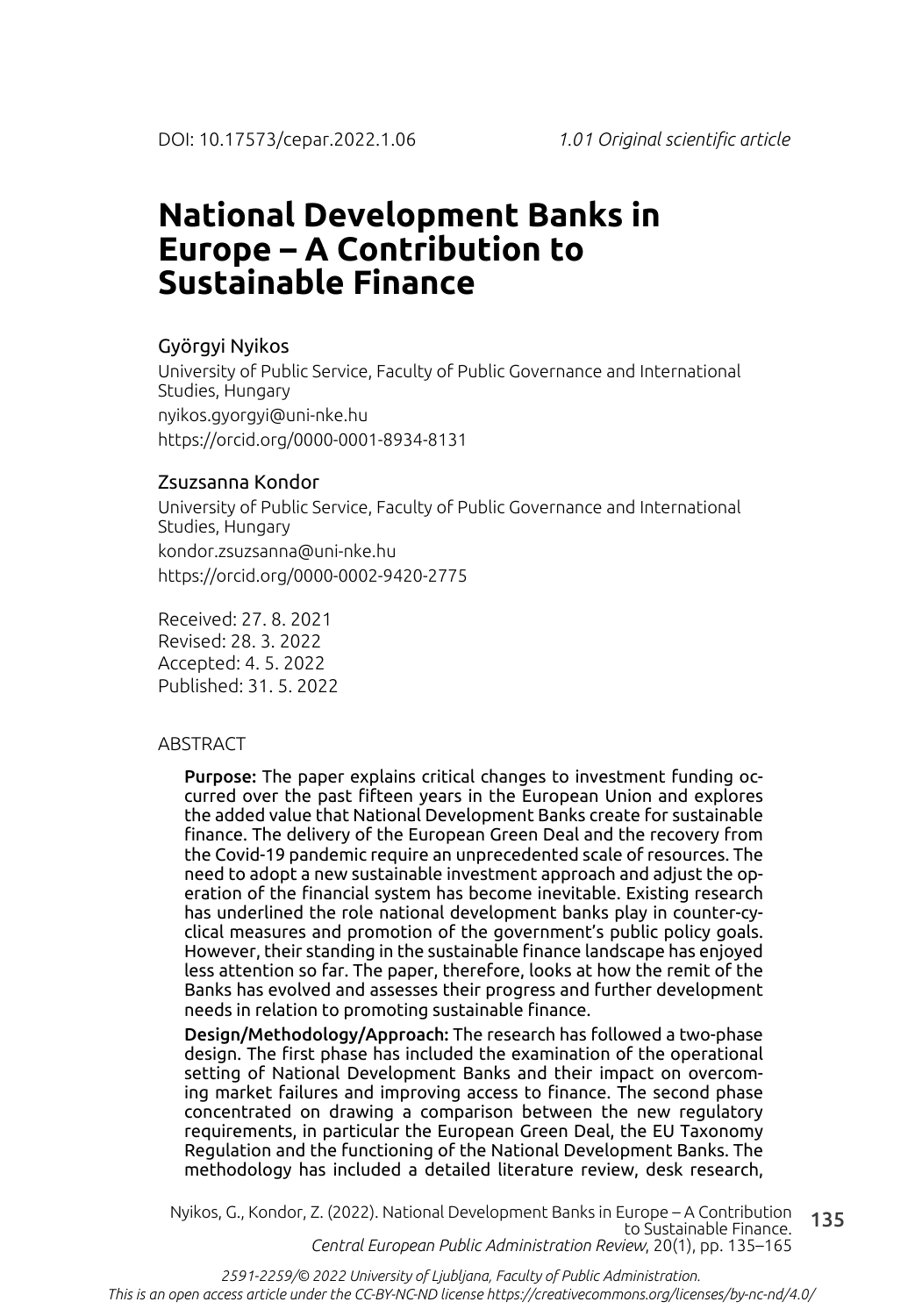# **National Development Banks in Europe – A Contribution to Sustainable Finance**

### Györgyi Nyikos

University of Public Service, Faculty of Public Governance and International Studies, Hungary nyikos.gyorgyi@uni-nke.hu https://orcid.org/0000-0001-8934-8131

### Zsuzsanna Kondor

University of Public Service, Faculty of Public Governance and International Studies, Hungary kondor.zsuzsanna@uni-nke.hu https://orcid.org/0000-0002-9420-2775

Received: 27. 8. 2021 Revised: 28. 3. 2022 Accepted: 4. 5. 2022 Published: 31. 5. 2022

### ABSTRACT

Purpose: The paper explains critical changes to investment funding occurred over the past fifteen years in the European Union and explores the added value that National Development Banks create for sustainable finance. The delivery of the European Green Deal and the recovery from the Covid-19 pandemic require an unprecedented scale of resources. The need to adopt a new sustainable investment approach and adjust the operation of the financial system has become inevitable. Existing research has underlined the role national development banks play in counter-cyclical measures and promotion of the government's public policy goals. However, their standing in the sustainable finance landscape has enjoyed less attention so far. The paper, therefore, looks at how the remit of the Banks has evolved and assesses their progress and further development needs in relation to promoting sustainable finance.

Design/Methodology/Approach: The research has followed a two-phase design. The first phase has included the examination of the operational setting of National Development Banks and their impact on overcoming market failures and improving access to finance. The second phase concentrated on drawing a comparison between the new regulatory requirements, in particular the European Green Deal, the EU Taxonomy Regulation and the functioning of the National Development Banks. The methodology has included a detailed literature review, desk research,

135 Nyikos, G., Kondor, Z. (2022). National Development Banks in Europe – A Contribution to Sustainable Finance. *Central European Public Administration Review*, 20(1), pp. 135–165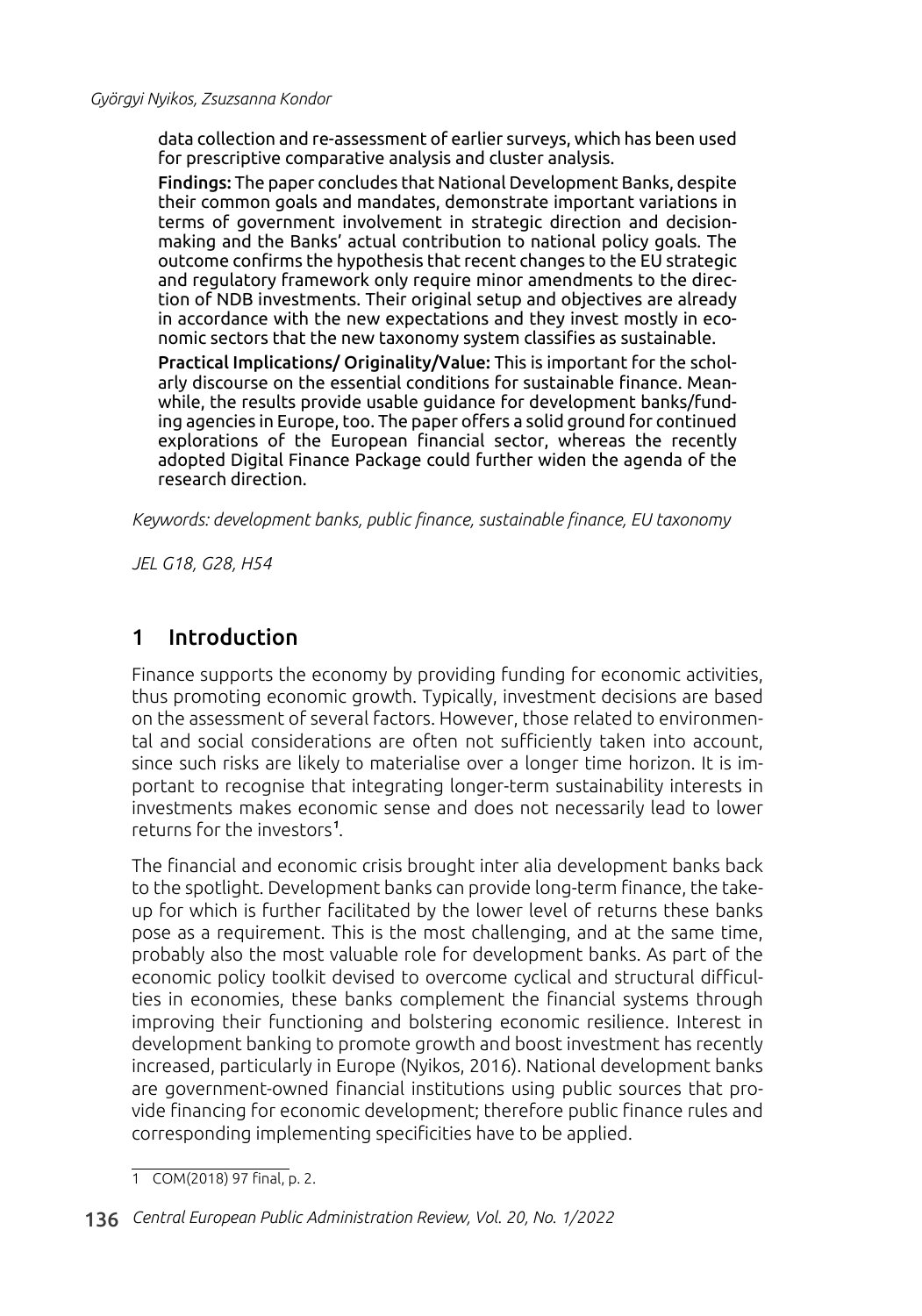data collection and re-assessment of earlier surveys, which has been used for prescriptive comparative analysis and cluster analysis.

Findings: The paper concludes that National Development Banks, despite their common goals and mandates, demonstrate important variations in terms of government involvement in strategic direction and decisionmaking and the Banks' actual contribution to national policy goals. The outcome confirms the hypothesis that recent changes to the EU strategic and regulatory framework only require minor amendments to the direction of NDB investments. Their original setup and objectives are already in accordance with the new expectations and they invest mostly in economic sectors that the new taxonomy system classifies as sustainable.

Practical Implications/ Originality/Value: This is important for the scholarly discourse on the essential conditions for sustainable finance. Meanwhile, the results provide usable guidance for development banks/funding agencies in Europe, too. The paper offers a solid ground for continued explorations of the European financial sector, whereas the recently adopted Digital Finance Package could further widen the agenda of the research direction.

*Keywords: development banks, public finance, sustainable finance, EU taxonomy*

*JEL G18, G28, H54*

# 1 Introduction

Finance supports the economy by providing funding for economic activities, thus promoting economic growth. Typically, investment decisions are based on the assessment of several factors. However, those related to environmental and social considerations are often not sufficiently taken into account, since such risks are likely to materialise over a longer time horizon. It is important to recognise that integrating longer-term sustainability interests in investments makes economic sense and does not necessarily lead to lower returns for the investors<sup>1</sup>.

The financial and economic crisis brought inter alia development banks back to the spotlight. Development banks can provide long-term finance, the takeup for which is further facilitated by the lower level of returns these banks pose as a requirement. This is the most challenging, and at the same time, probably also the most valuable role for development banks. As part of the economic policy toolkit devised to overcome cyclical and structural difficulties in economies, these banks complement the financial systems through improving their functioning and bolstering economic resilience. Interest in development banking to promote growth and boost investment has recently increased, particularly in Europe (Nyikos, 2016). National development banks are government-owned financial institutions using public sources that provide financing for economic development; therefore public finance rules and corresponding implementing specificities have to be applied.

1 COM(2018) 97 final, p. 2.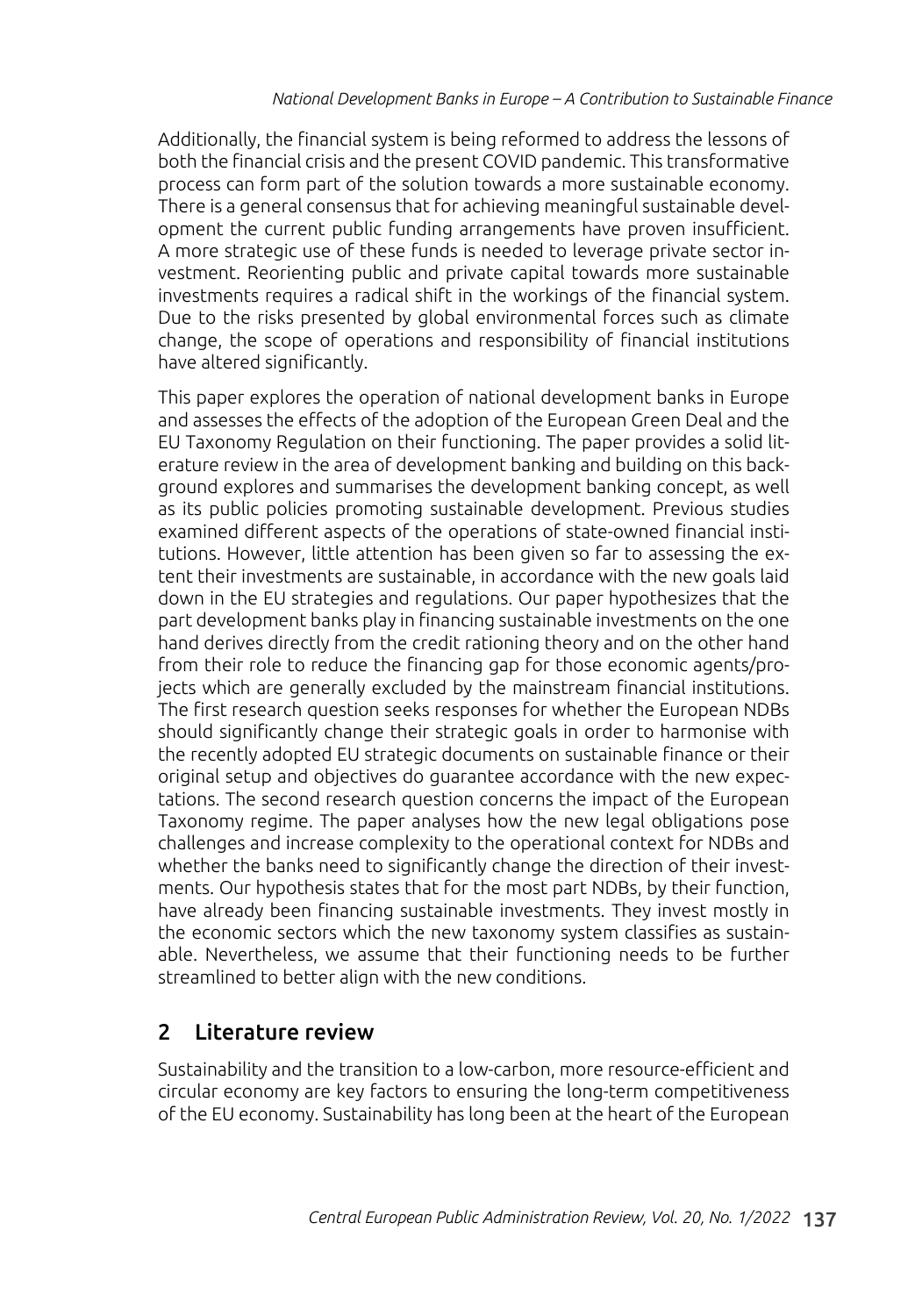Additionally, the financial system is being reformed to address the lessons of both the financial crisis and the present COVID pandemic. This transformative process can form part of the solution towards a more sustainable economy. There is a general consensus that for achieving meaningful sustainable development the current public funding arrangements have proven insufficient. A more strategic use of these funds is needed to leverage private sector investment. Reorienting public and private capital towards more sustainable investments requires a radical shift in the workings of the financial system. Due to the risks presented by global environmental forces such as climate change, the scope of operations and responsibility of financial institutions have altered significantly.

This paper explores the operation of national development banks in Europe and assesses the effects of the adoption of the European Green Deal and the EU Taxonomy Regulation on their functioning. The paper provides a solid literature review in the area of development banking and building on this background explores and summarises the development banking concept, as well as its public policies promoting sustainable development. Previous studies examined different aspects of the operations of state-owned financial institutions. However, little attention has been given so far to assessing the extent their investments are sustainable, in accordance with the new goals laid down in the EU strategies and regulations. Our paper hypothesizes that the part development banks play in financing sustainable investments on the one hand derives directly from the credit rationing theory and on the other hand from their role to reduce the financing gap for those economic agents/projects which are generally excluded by the mainstream financial institutions. The first research question seeks responses for whether the European NDBs should significantly change their strategic goals in order to harmonise with the recently adopted EU strategic documents on sustainable finance or their original setup and objectives do guarantee accordance with the new expectations. The second research question concerns the impact of the European Taxonomy regime. The paper analyses how the new legal obligations pose challenges and increase complexity to the operational context for NDBs and whether the banks need to significantly change the direction of their investments. Our hypothesis states that for the most part NDBs, by their function, have already been financing sustainable investments. They invest mostly in the economic sectors which the new taxonomy system classifies as sustainable. Nevertheless, we assume that their functioning needs to be further streamlined to better align with the new conditions.

# 2 Literature review

Sustainability and the transition to a low-carbon, more resource-efficient and circular economy are key factors to ensuring the long-term competitiveness of the EU economy. Sustainability has long been at the heart of the European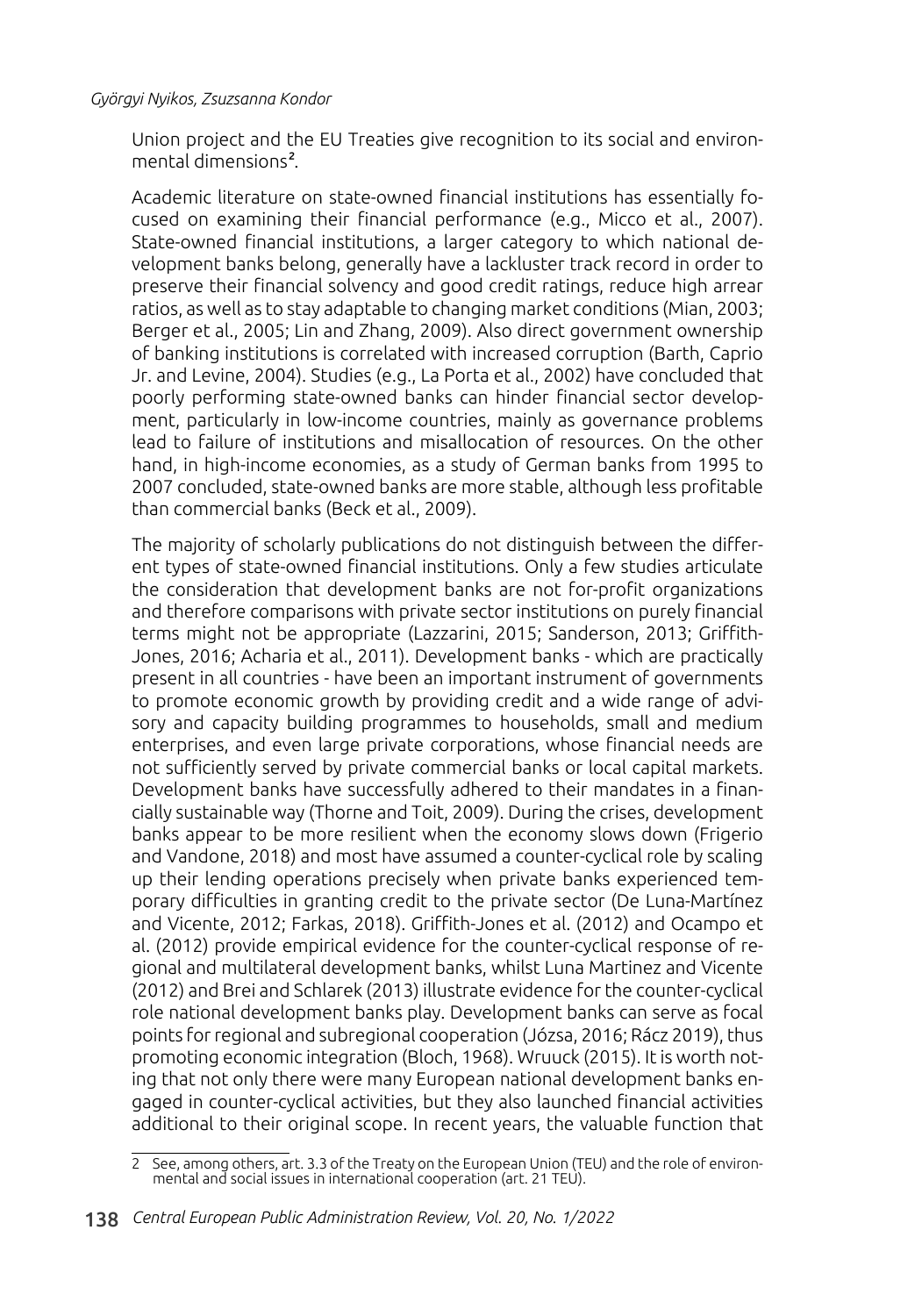Union project and the EU Treaties give recognition to its social and environmental dimensions<sup>2</sup>.

Academic literature on state-owned financial institutions has essentially focused on examining their financial performance (e.g., Micco et al., 2007). State-owned financial institutions, a larger category to which national development banks belong, generally have a lackluster track record in order to preserve their financial solvency and good credit ratings, reduce high arrear ratios, as well as to stay adaptable to changing market conditions (Mian, 2003; Berger et al., 2005; Lin and Zhang, 2009). Also direct government ownership of banking institutions is correlated with increased corruption (Barth, Caprio Jr. and Levine, 2004). Studies (e.g., La Porta et al., 2002) have concluded that poorly performing state-owned banks can hinder financial sector development, particularly in low-income countries, mainly as governance problems lead to failure of institutions and misallocation of resources. On the other hand, in high-income economies, as a study of German banks from 1995 to 2007 concluded, state-owned banks are more stable, although less profitable than commercial banks (Beck et al., 2009).

The majority of scholarly publications do not distinguish between the different types of state-owned financial institutions. Only a few studies articulate the consideration that development banks are not for-profit organizations and therefore comparisons with private sector institutions on purely financial terms might not be appropriate (Lazzarini, 2015; Sanderson, 2013; Griffith-Jones, 2016; Acharia et al., 2011). Development banks - which are practically present in all countries - have been an important instrument of governments to promote economic growth by providing credit and a wide range of advisory and capacity building programmes to households, small and medium enterprises, and even large private corporations, whose financial needs are not sufficiently served by private commercial banks or local capital markets. Development banks have successfully adhered to their mandates in a financially sustainable way (Thorne and Toit, 2009). During the crises, development banks appear to be more resilient when the economy slows down (Frigerio and Vandone, 2018) and most have assumed a counter-cyclical role by scaling up their lending operations precisely when private banks experienced temporary difficulties in granting credit to the private sector (De Luna-Martínez and Vicente, 2012; Farkas, 2018). Griffith-Jones et al. (2012) and Ocampo et al. (2012) provide empirical evidence for the counter-cyclical response of regional and multilateral development banks, whilst Luna Martinez and Vicente (2012) and Brei and Schlarek (2013) illustrate evidence for the counter-cyclical role national development banks play. Development banks can serve as focal points for regional and subregional cooperation (Józsa, 2016; Rácz 2019), thus promoting economic integration (Bloch, 1968). Wruuck (2015). It is worth noting that not only there were many European national development banks engaged in counter-cyclical activities, but they also launched financial activities additional to their original scope. In recent years, the valuable function that

<sup>2</sup> See, among others, art. 3.3 of the Treaty on the European Union (TEU) and the role of environmental and social issues in international cooperation (art. 21 TEU).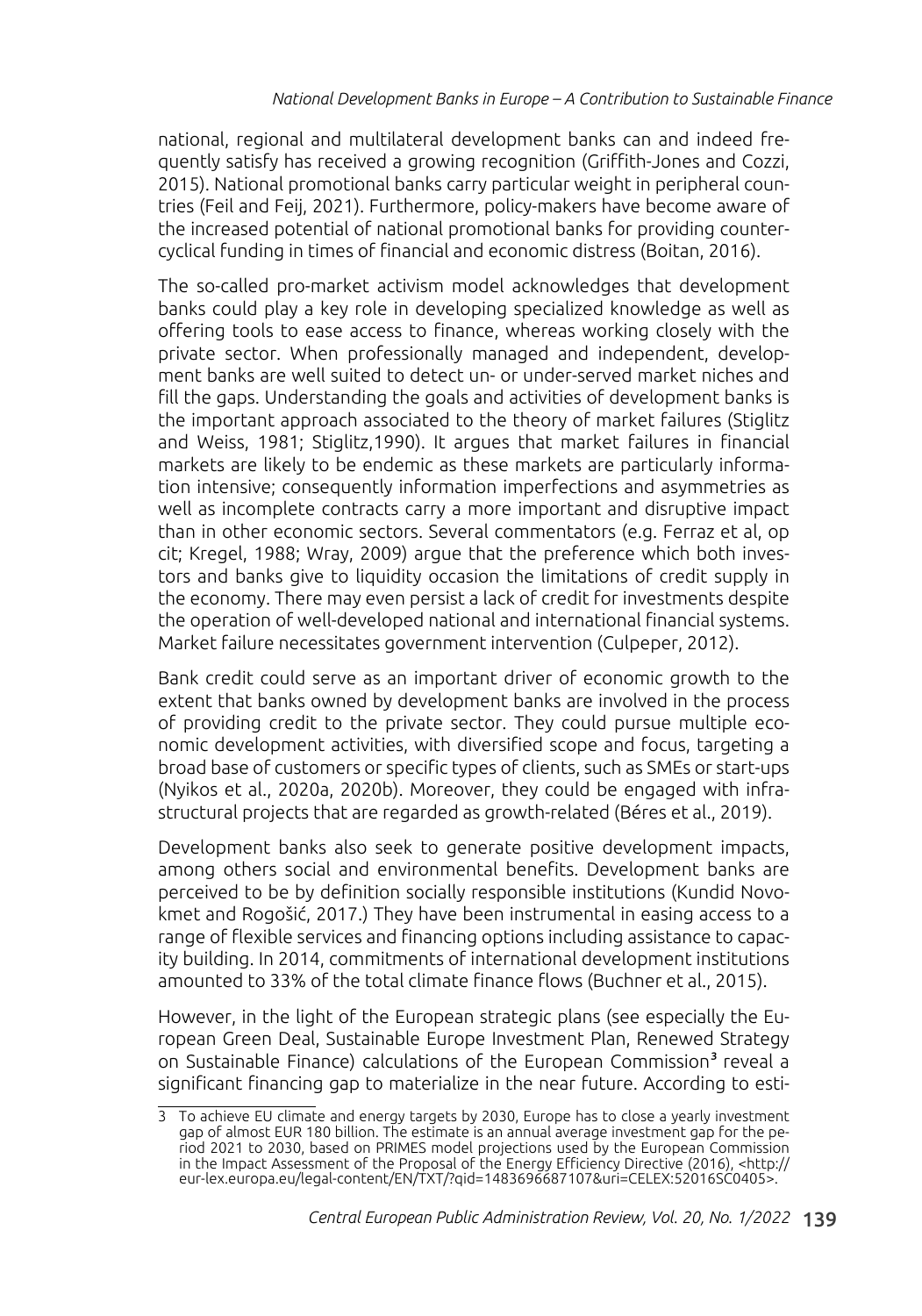national, regional and multilateral development banks can and indeed frequently satisfy has received a growing recognition (Griffith-Jones and Cozzi, 2015). National promotional banks carry particular weight in peripheral countries (Feil and Feij, 2021). Furthermore, policy-makers have become aware of the increased potential of national promotional banks for providing countercyclical funding in times of financial and economic distress (Boitan, 2016).

The so-called pro-market activism model acknowledges that development banks could play a key role in developing specialized knowledge as well as offering tools to ease access to finance, whereas working closely with the private sector. When professionally managed and independent, development banks are well suited to detect un- or under-served market niches and fill the gaps. Understanding the goals and activities of development banks is the important approach associated to the theory of market failures (Stiglitz and Weiss, 1981; Stiglitz,1990). It argues that market failures in financial markets are likely to be endemic as these markets are particularly information intensive; consequently information imperfections and asymmetries as well as incomplete contracts carry a more important and disruptive impact than in other economic sectors. Several commentators (e.g. Ferraz et al, op cit; Kregel, 1988; Wray, 2009) argue that the preference which both investors and banks give to liquidity occasion the limitations of credit supply in the economy. There may even persist a lack of credit for investments despite the operation of well-developed national and international financial systems. Market failure necessitates government intervention (Culpeper, 2012).

Bank credit could serve as an important driver of economic growth to the extent that banks owned by development banks are involved in the process of providing credit to the private sector. They could pursue multiple economic development activities, with diversified scope and focus, targeting a broad base of customers or specific types of clients, such as SMEs or start-ups (Nyikos et al., 2020a, 2020b). Moreover, they could be engaged with infrastructural projects that are regarded as growth-related (Béres et al., 2019).

Development banks also seek to generate positive development impacts, among others social and environmental benefits. Development banks are perceived to be by definition socially responsible institutions (Kundid Novokmet and Rogošić, 2017.) They have been instrumental in easing access to a range of flexible services and financing options including assistance to capacity building. In 2014, commitments of international development institutions amounted to 33% of the total climate finance flows (Buchner et al., 2015).

However, in the light of the European strategic plans (see especially the European Green Deal, Sustainable Europe Investment Plan, Renewed Strategy on Sustainable Finance) calculations of the European Commission<sup>3</sup> reveal a significant financing gap to materialize in the near future. According to esti-

<sup>3</sup> To achieve EU climate and energy targets by 2030, Europe has to close a yearly investment gap of almost EUR 180 billion. The estimate is an annual average investment gap for the period 2021 to 2030, based on PRIMES model projections used by the European Commission in the Impact Assessment of the Proposal of the Energy Efficiency Directive (2016), <http:// eur-lex.europa.eu/legal-content/EN/TXT/?qid=1483696687107&uri=CELEX:52016SC0405>.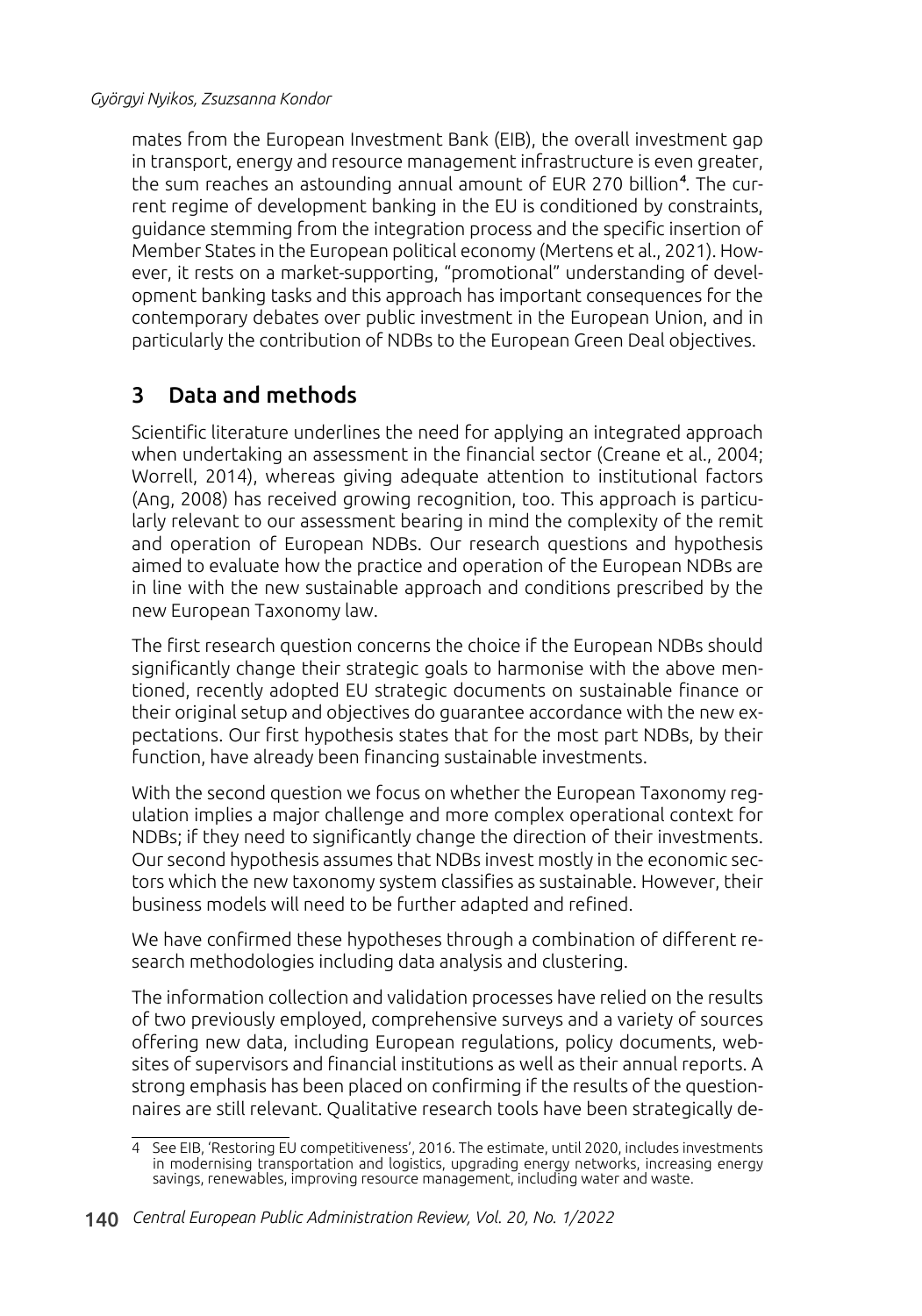mates from the European Investment Bank (EIB), the overall investment gap in transport, energy and resource management infrastructure is even greater, the sum reaches an astounding annual amount of EUR 270 billion<sup>4</sup>. The current regime of development banking in the EU is conditioned by constraints, guidance stemming from the integration process and the specific insertion of Member States in the European political economy (Mertens et al., 2021). However, it rests on a market-supporting, "promotional" understanding of development banking tasks and this approach has important consequences for the contemporary debates over public investment in the European Union, and in particularly the contribution of NDBs to the European Green Deal objectives.

# 3 Data and methods

Scientific literature underlines the need for applying an integrated approach when undertaking an assessment in the financial sector (Creane et al., 2004; Worrell, 2014), whereas giving adequate attention to institutional factors (Ang, 2008) has received growing recognition, too. This approach is particularly relevant to our assessment bearing in mind the complexity of the remit and operation of European NDBs. Our research questions and hypothesis aimed to evaluate how the practice and operation of the European NDBs are in line with the new sustainable approach and conditions prescribed by the new European Taxonomy law.

The first research question concerns the choice if the European NDBs should significantly change their strategic goals to harmonise with the above mentioned, recently adopted EU strategic documents on sustainable finance or their original setup and objectives do guarantee accordance with the new expectations. Our first hypothesis states that for the most part NDBs, by their function, have already been financing sustainable investments.

With the second question we focus on whether the European Taxonomy regulation implies a major challenge and more complex operational context for NDBs; if they need to significantly change the direction of their investments. Our second hypothesis assumes that NDBs invest mostly in the economic sectors which the new taxonomy system classifies as sustainable. However, their business models will need to be further adapted and refined.

We have confirmed these hypotheses through a combination of different research methodologies including data analysis and clustering.

The information collection and validation processes have relied on the results of two previously employed, comprehensive surveys and a variety of sources offering new data, including European regulations, policy documents, websites of supervisors and financial institutions as well as their annual reports. A strong emphasis has been placed on confirming if the results of the questionnaires are still relevant. Qualitative research tools have been strategically de-

<sup>4</sup> See EIB, 'Restoring EU competitiveness', 2016. The estimate, until 2020, includes investments in modernising transportation and logistics, upgrading energy networks, increasing energy savings, renewables, improving resource management, including water and waste.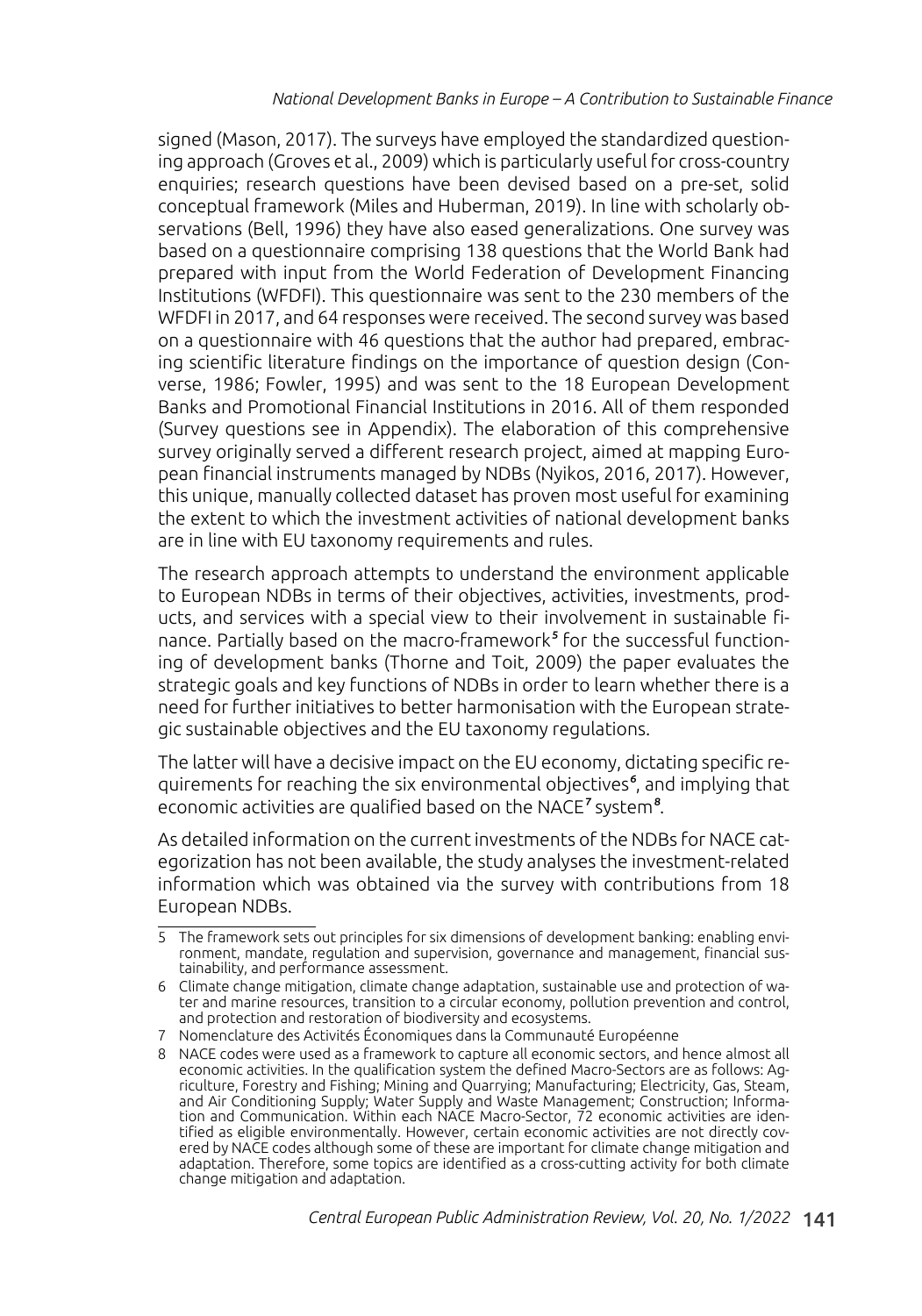signed (Mason, 2017). The surveys have employed the standardized questioning approach (Groves et al., 2009) which is particularly useful for cross-country enquiries; research questions have been devised based on a pre-set, solid conceptual framework (Miles and Huberman, 2019). In line with scholarly observations (Bell, 1996) they have also eased generalizations. One survey was based on a questionnaire comprising 138 questions that the World Bank had prepared with input from the World Federation of Development Financing Institutions (WFDFI). This questionnaire was sent to the 230 members of the WFDFI in 2017, and 64 responses were received. The second survey was based on a questionnaire with 46 questions that the author had prepared, embracing scientific literature findings on the importance of question design (Converse, 1986; Fowler, 1995) and was sent to the 18 European Development Banks and Promotional Financial Institutions in 2016. All of them responded (Survey questions see in Appendix). The elaboration of this comprehensive survey originally served a different research project, aimed at mapping European financial instruments managed by NDBs (Nyikos, 2016, 2017). However, this unique, manually collected dataset has proven most useful for examining the extent to which the investment activities of national development banks are in line with EU taxonomy requirements and rules.

The research approach attempts to understand the environment applicable to European NDBs in terms of their objectives, activities, investments, products, and services with a special view to their involvement in sustainable finance. Partially based on the macro-framework<sup>5</sup> for the successful functioning of development banks (Thorne and Toit, 2009) the paper evaluates the strategic goals and key functions of NDBs in order to learn whether there is a need for further initiatives to better harmonisation with the European strategic sustainable objectives and the EU taxonomy regulations.

The latter will have a decisive impact on the EU economy, dictating specific requirements for reaching the six environmental objectives<sup>6</sup>, and implying that economic activities are qualified based on the NACE<sup>7</sup> system<sup>8</sup>.

As detailed information on the current investments of the NDBs for NACE categorization has not been available, the study analyses the investment-related information which was obtained via the survey with contributions from 18 European NDBs.

<sup>5</sup> The framework sets out principles for six dimensions of development banking: enabling environment, mandate, regulation and supervision, governance and management, financial sustainability, and performance assessment.

<sup>6</sup> Climate change mitigation, climate change adaptation, sustainable use and protection of water and marine resources, transition to a circular economy, pollution prevention and control, and protection and restoration of biodiversity and ecosystems.

<sup>7</sup> Nomenclature des Activités Économiques dans la Communauté Européenne

<sup>8</sup> NACE codes were used as a framework to capture all economic sectors, and hence almost all economic activities. In the qualification system the defined Macro-Sectors are as follows: Agriculture, Forestry and Fishing; Mining and Quarrying; Manufacturing; Electricity, Gas, Steam, and Air Conditioning Supply; Water Supply and Waste Management; Construction; Information and Communication. Within each NACE Macro-Sector, 72 economic activities are identified as eligible environmentally. However, certain economic activities are not directly covered by NACE codes although some of these are important for climate change mitigation and adaptation. Therefore, some topics are identified as a cross-cutting activity for both climate change mitigation and adaptation.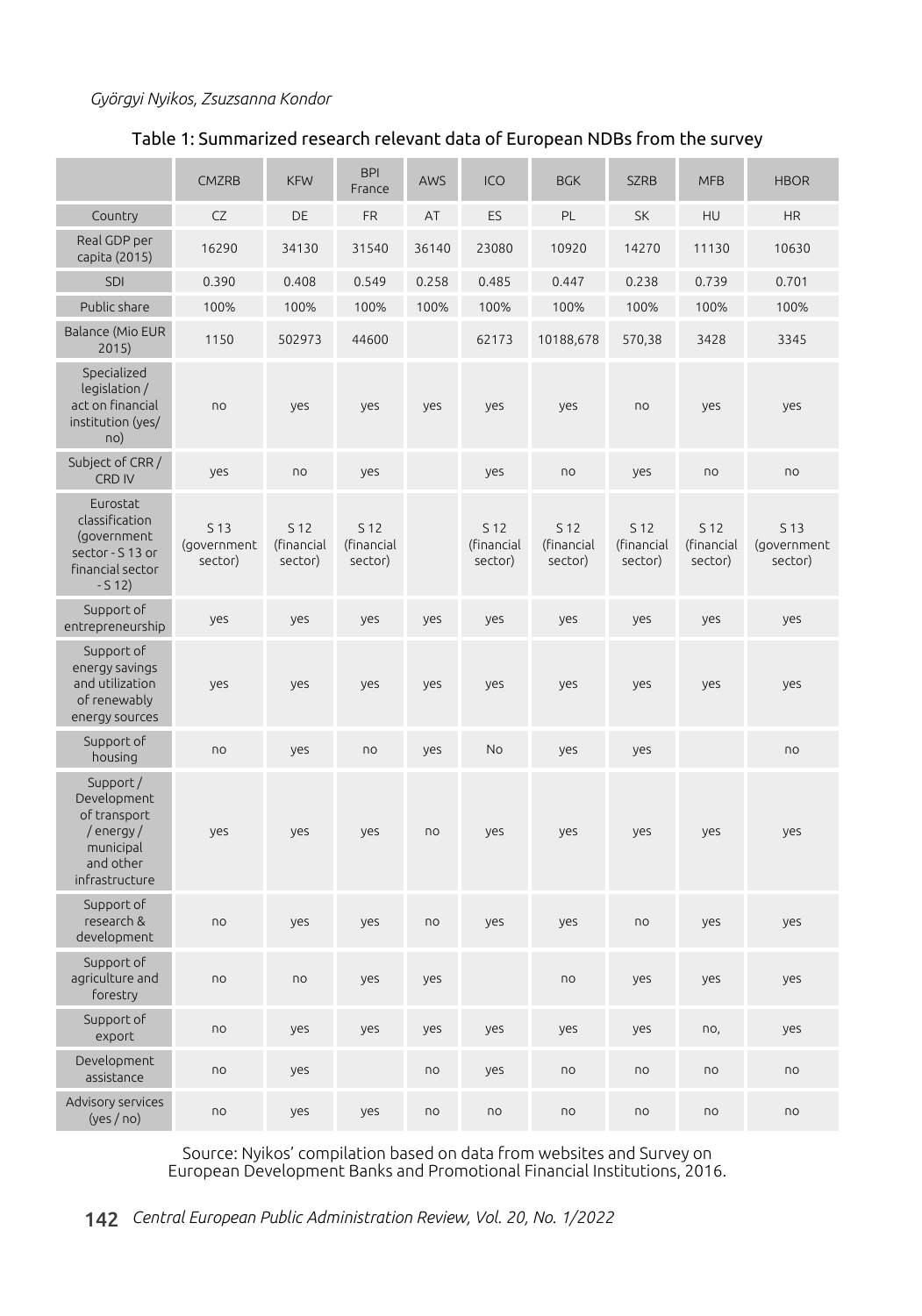### Table 1: Summarized research relevant data of European NDBs from the survey

|                                                                                                 | <b>CMZRB</b>                   | <b>KFW</b>                    | <b>BPI</b><br>France          | AWS   | ICO                           | <b>BGK</b>                    | <b>SZRB</b>                   | <b>MFB</b>                    | <b>HBOR</b>                    |
|-------------------------------------------------------------------------------------------------|--------------------------------|-------------------------------|-------------------------------|-------|-------------------------------|-------------------------------|-------------------------------|-------------------------------|--------------------------------|
| Country                                                                                         | CZ                             | DE                            | <b>FR</b>                     | AT    | ES                            | PL                            | SK                            | HU                            | <b>HR</b>                      |
| Real GDP per<br>capita (2015)                                                                   | 16290                          | 34130                         | 31540                         | 36140 | 23080                         | 10920                         | 14270                         | 11130                         | 10630                          |
| <b>SDI</b>                                                                                      | 0.390                          | 0.408                         | 0.549                         | 0.258 | 0.485                         | 0.447                         | 0.238                         | 0.739                         | 0.701                          |
| Public share                                                                                    | 100%                           | 100%                          | 100%                          | 100%  | 100%                          | 100%                          | 100%                          | 100%                          | 100%                           |
| Balance (Mio EUR<br>2015)                                                                       | 1150                           | 502973                        | 44600                         |       | 62173                         | 10188,678                     | 570,38                        | 3428                          | 3345                           |
| Specialized<br>legislation /<br>act on financial<br>institution (yes/<br>no)                    | no                             | yes                           | yes                           | yes   | yes                           | yes                           | no                            | yes                           | yes                            |
| Subject of CRR /<br>CRD IV                                                                      | yes                            | no                            | yes                           |       | yes                           | no                            | yes                           | no                            | no                             |
| Eurostat<br>classification<br>(government<br>sector - S 13 or<br>financial sector<br>$-512)$    | S 13<br>(government<br>sector) | S 12<br>(financial<br>sector) | S 12<br>(financial<br>sector) |       | S 12<br>(financial<br>sector) | S 12<br>(financial<br>sector) | S 12<br>(financial<br>sector) | S 12<br>(financial<br>sector) | S 13<br>(government<br>sector) |
| Support of<br>entrepreneurship                                                                  | yes                            | yes                           | yes                           | yes   | yes                           | yes                           | yes                           | yes                           | yes                            |
| Support of<br>energy savings<br>and utilization<br>of renewably<br>energy sources               | yes                            | yes                           | yes                           | yes   | yes                           | yes                           | yes                           | yes                           | yes                            |
| Support of<br>housing                                                                           | no                             | yes                           | no                            | yes   | No                            | yes                           | yes                           |                               | no                             |
| Support/<br>Development<br>of transport<br>/energy/<br>municipal<br>and other<br>infrastructure | yes                            | yes                           | yes                           | no    | yes                           | yes                           | yes                           | yes                           | yes                            |
| Support of<br>research &<br>development                                                         | no                             | yes                           | yes                           | no    | yes                           | yes                           | no                            | yes                           | yes                            |
| Support of<br>agriculture and<br>forestry                                                       | no                             | no                            | yes                           | yes   |                               | no                            | yes                           | yes                           | yes                            |
| Support of<br>export                                                                            | no                             | yes                           | yes                           | yes   | yes                           | yes                           | yes                           | no,                           | yes                            |
| Development<br>assistance                                                                       | no                             | yes                           |                               | no    | yes                           | no                            | n <sub>o</sub>                | n <sub>o</sub>                | no                             |
| Advisory services<br>(yes/no)                                                                   | no                             | yes                           | yes                           | no    | no                            | no                            | no                            | no                            | no                             |

Source: Nyikos' compilation based on data from websites and Survey on European Development Banks and Promotional Financial Institutions, 2016.

142 *Central European Public Administration Review, Vol. 20, No. 1/2022*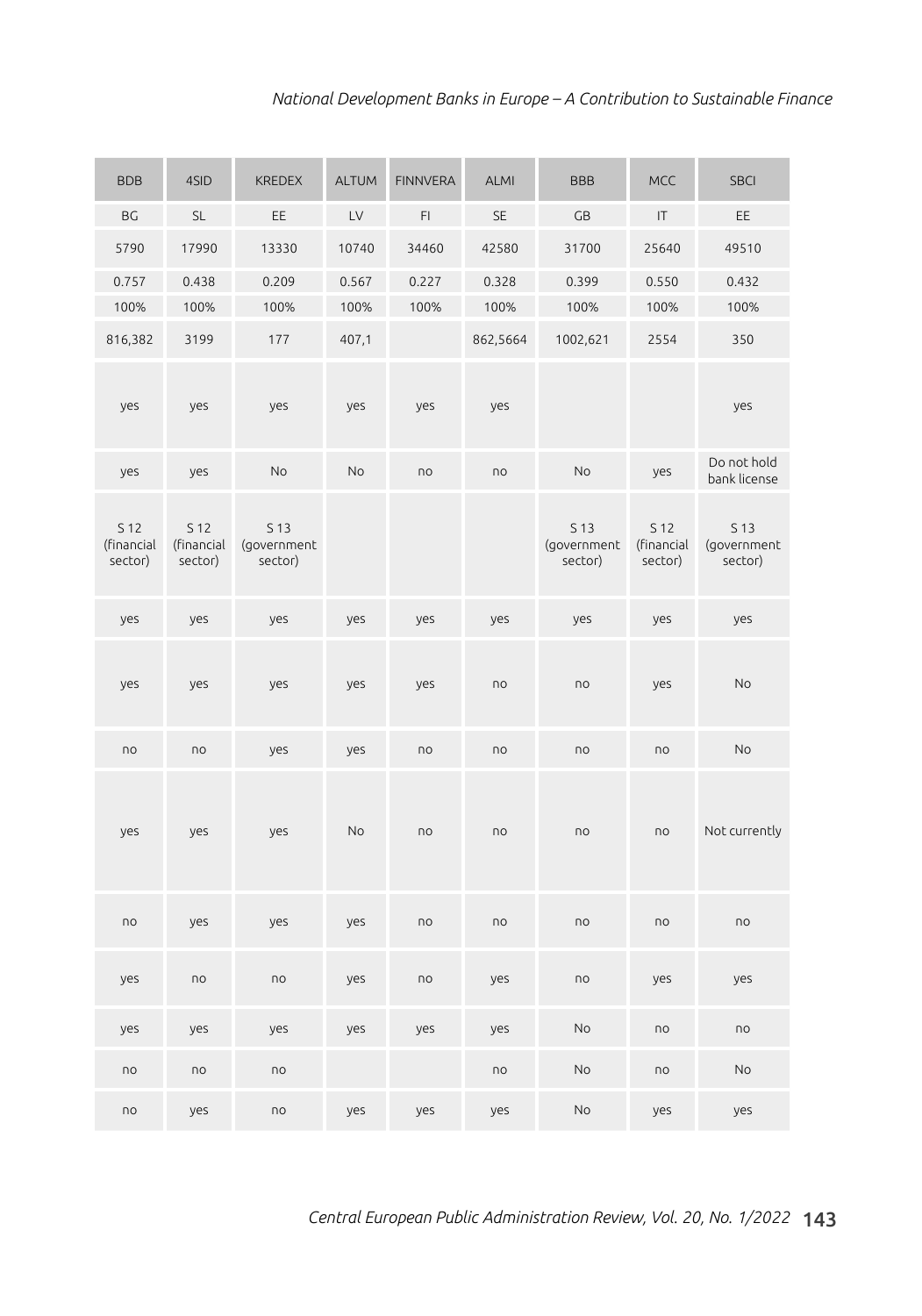| <b>BDB</b>                    | 4SID                          | <b>KREDEX</b>                  | <b>ALTUM</b> | <b>FINNVERA</b> | <b>ALMI</b> | <b>BBB</b>                                | <b>MCC</b>                    | <b>SBCI</b>                               |
|-------------------------------|-------------------------------|--------------------------------|--------------|-----------------|-------------|-------------------------------------------|-------------------------------|-------------------------------------------|
| BG                            | <b>SL</b>                     | EE                             | LV           | FI              | <b>SE</b>   | GB                                        | IT                            | EE.                                       |
| 5790                          | 17990                         | 13330                          | 10740        | 34460           | 42580       | 31700                                     | 25640                         | 49510                                     |
| 0.757                         | 0.438                         | 0.209                          | 0.567        | 0.227           | 0.328       | 0.399                                     | 0.550                         | 0.432                                     |
| 100%                          | 100%                          | 100%                           | 100%         | 100%            | 100%        | 100%                                      | 100%                          | 100%                                      |
| 816,382                       | 3199                          | 177                            | 407,1        |                 | 862,5664    | 1002,621                                  | 2554                          | 350                                       |
| yes                           | yes                           | yes                            | yes          | yes             | yes         |                                           |                               | yes                                       |
| yes                           | yes                           | No                             | No           | no              | no          | No                                        | yes                           | Do not hold<br>bank license               |
| S 12<br>(financial<br>sector) | S 12<br>(financial<br>sector) | S 13<br>(government<br>sector) |              |                 |             | S <sub>13</sub><br>(government<br>sector) | S 12<br>(financial<br>sector) | S <sub>13</sub><br>(government<br>sector) |
| yes                           | yes                           | yes                            | yes          | yes             | yes         | yes                                       | yes                           | yes                                       |
| yes                           | yes                           | yes                            | yes          | yes             | no          | no                                        | yes                           | No                                        |
| no                            | no                            | yes                            | yes          | no              | no          | no                                        | no                            | No                                        |
| yes                           | yes                           | yes                            | No           | no              | no          | no                                        | n <sub>o</sub>                | Not currently                             |
| no                            | yes                           | yes                            | yes          | no              | no          | no                                        | n <sub>o</sub>                | no                                        |
| yes                           | no                            | no                             | yes          | no              | yes         | no                                        | yes                           | yes                                       |
| yes                           | yes                           | yes                            | yes          | yes             | yes         | No                                        | no                            | no                                        |
| no                            | $\overline{D}$                | no                             |              |                 | no          | No                                        | n <sub>o</sub>                | No                                        |
| no                            | yes                           | $\overline{10}$                | yes          | yes             | yes         | No                                        | yes                           | yes                                       |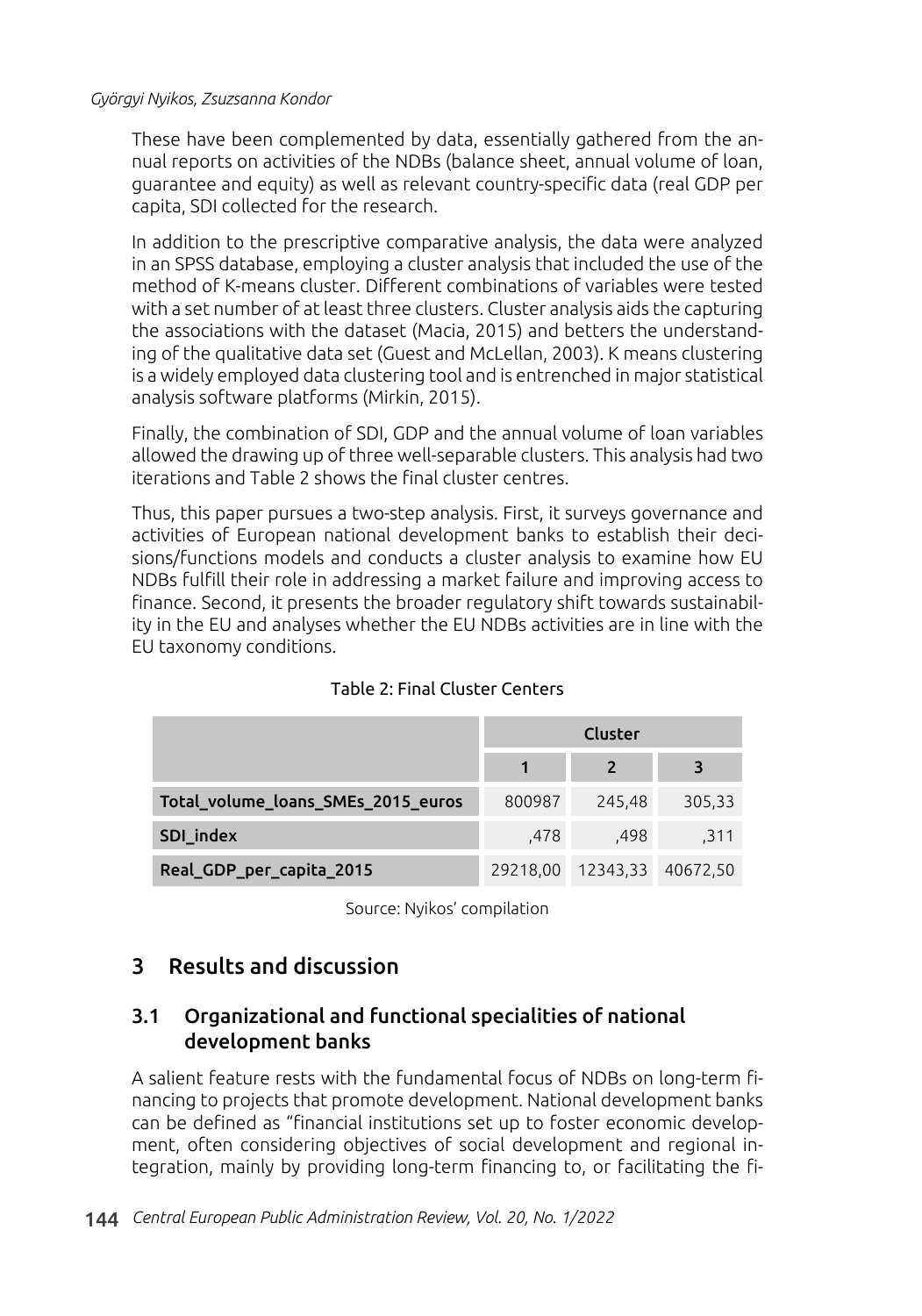These have been complemented by data, essentially gathered from the annual reports on activities of the NDBs (balance sheet, annual volume of loan, guarantee and equity) as well as relevant country-specific data (real GDP per capita, SDI collected for the research.

In addition to the prescriptive comparative analysis, the data were analyzed in an SPSS database, employing a cluster analysis that included the use of the method of K-means cluster. Different combinations of variables were tested with a set number of at least three clusters. Cluster analysis aids the capturing the associations with the dataset (Macia, 2015) and betters the understanding of the qualitative data set (Guest and McLellan, 2003). K means clustering is a widely employed data clustering tool and is entrenched in major statistical analysis software platforms (Mirkin, 2015).

Finally, the combination of SDI, GDP and the annual volume of loan variables allowed the drawing up of three well-separable clusters. This analysis had two iterations and Table 2 shows the final cluster centres.

Thus, this paper pursues a two-step analysis. First, it surveys governance and activities of European national development banks to establish their decisions/functions models and conducts a cluster analysis to examine how EU NDBs fulfill their role in addressing a market failure and improving access to finance. Second, it presents the broader regulatory shift towards sustainability in the EU and analyses whether the EU NDBs activities are in line with the EU taxonomy conditions.

|                                    | <b>Cluster</b> |                |          |
|------------------------------------|----------------|----------------|----------|
|                                    |                | $\overline{2}$ |          |
| Total_volume_loans_SMEs_2015_euros | 800987         | 245,48         | 305,33   |
| SDI_index                          | .478           | .498           | .311     |
| Real_GDP_per_capita_2015           | 29218,00       | 12343,33       | 40672,50 |

### Table 2: Final Cluster Centers

Source: Nyikos' compilation

### 3 Results and discussion

### 3.1 Organizational and functional specialities of national development banks

A salient feature rests with the fundamental focus of NDBs on long-term financing to projects that promote development. National development banks can be defined as "financial institutions set up to foster economic development, often considering objectives of social development and regional integration, mainly by providing long-term financing to, or facilitating the fi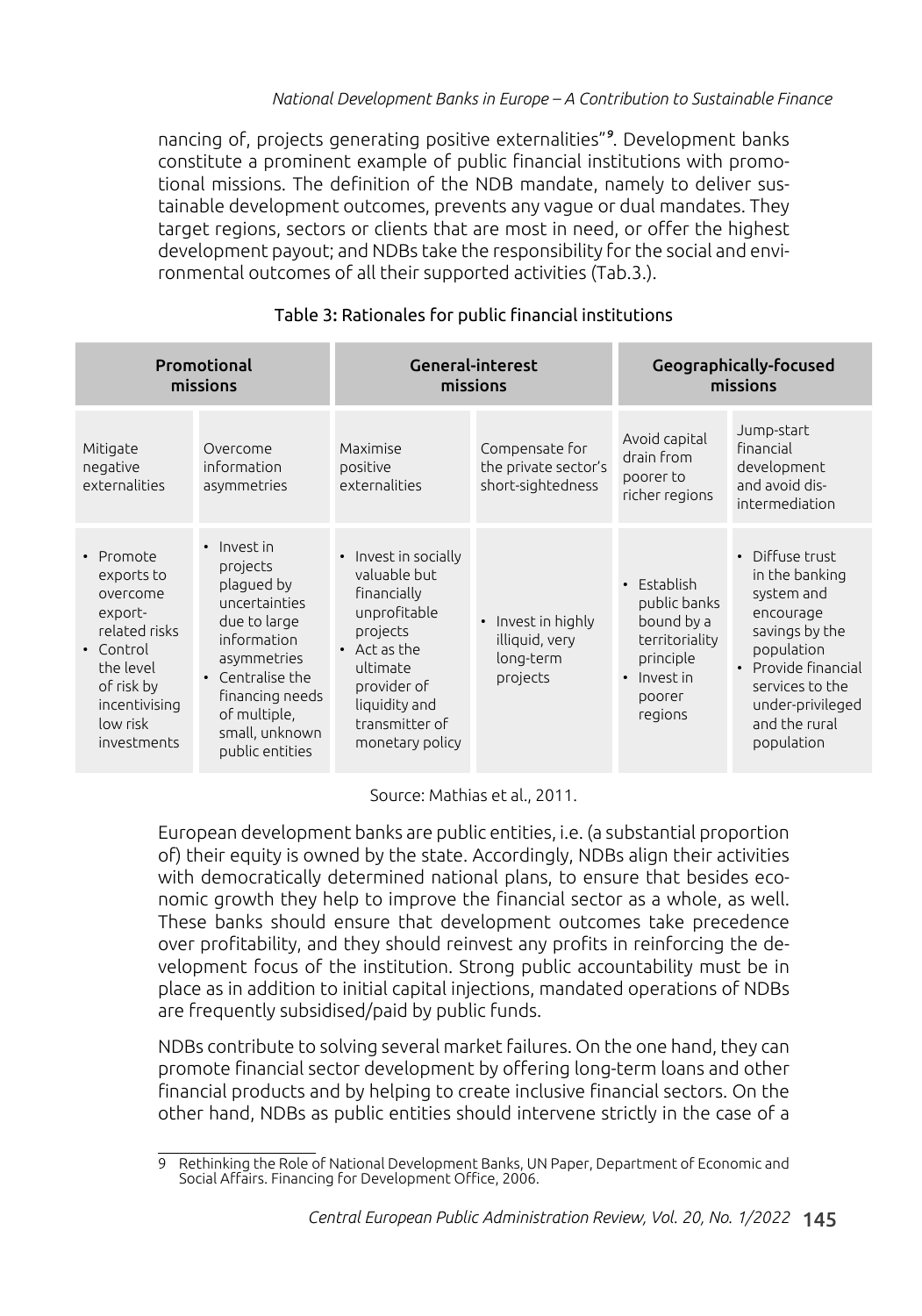nancing of, projects generating positive externalities"<sup>9</sup>. Development banks constitute a prominent example of public financial institutions with promotional missions. The definition of the NDB mandate, namely to deliver sustainable development outcomes, prevents any vague or dual mandates. They target regions, sectors or clients that are most in need, or offer the highest development payout; and NDBs take the responsibility for the social and environmental outcomes of all their supported activities (Tab.3.).

| Promotional<br>missions                                                                                                                             |                                                                                                                                                                                                  |                                                                                                                                                                                  | General-interest<br>missions                                             | Geographically-focused<br>missions                                                                           |                                                                                                                                                                                         |  |
|-----------------------------------------------------------------------------------------------------------------------------------------------------|--------------------------------------------------------------------------------------------------------------------------------------------------------------------------------------------------|----------------------------------------------------------------------------------------------------------------------------------------------------------------------------------|--------------------------------------------------------------------------|--------------------------------------------------------------------------------------------------------------|-----------------------------------------------------------------------------------------------------------------------------------------------------------------------------------------|--|
| Mitigate<br>negative<br>externalities                                                                                                               | Overcome<br>information<br>asymmetries                                                                                                                                                           | Maximise<br>positive<br>externalities                                                                                                                                            | Compensate for<br>the private sector's<br>short-sightedness              | Avoid capital<br>drain from<br>poorer to<br>richer regions                                                   | Jump-start<br>financial<br>development<br>and avoid dis-<br>intermediation                                                                                                              |  |
| • Promote<br>exports to<br>overcome<br>export-<br>related risks<br>• Control<br>the level<br>of risk by<br>incentivising<br>low risk<br>investments | • Invest in<br>projects<br>plaqued by<br>uncertainties<br>due to large<br>information<br>asymmetries<br>• Centralise the<br>financing needs<br>of multiple,<br>small, unknown<br>public entities | • Invest in socially<br>valuable but<br>financially<br>unprofitable<br>projects<br>• Act as the<br>ultimate<br>provider of<br>liquidity and<br>transmitter of<br>monetary policy | Invest in highly<br>$\bullet$<br>illiquid, very<br>long-term<br>projects | • Establish<br>public banks<br>bound by a<br>territoriality<br>principle<br>• Invest in<br>poorer<br>regions | • Diffuse trust<br>in the banking<br>system and<br>encourage<br>savings by the<br>population<br>Provide financial<br>services to the<br>under-privileged<br>and the rural<br>population |  |

### Table 3: Rationales for public financial institutions

Source: Mathias et al., 2011.

European development banks are public entities, i.e. (a substantial proportion of) their equity is owned by the state. Accordingly, NDBs align their activities with democratically determined national plans, to ensure that besides economic growth they help to improve the financial sector as a whole, as well. These banks should ensure that development outcomes take precedence over profitability, and they should reinvest any profits in reinforcing the development focus of the institution. Strong public accountability must be in place as in addition to initial capital injections, mandated operations of NDBs are frequently subsidised/paid by public funds.

NDBs contribute to solving several market failures. On the one hand, they can promote financial sector development by offering long-term loans and other financial products and by helping to create inclusive financial sectors. On the other hand, NDBs as public entities should intervene strictly in the case of a

<sup>9</sup> Rethinking the Role of National Development Banks, UN Paper, Department of Economic and Social Affairs. Financing for Development Office, 2006.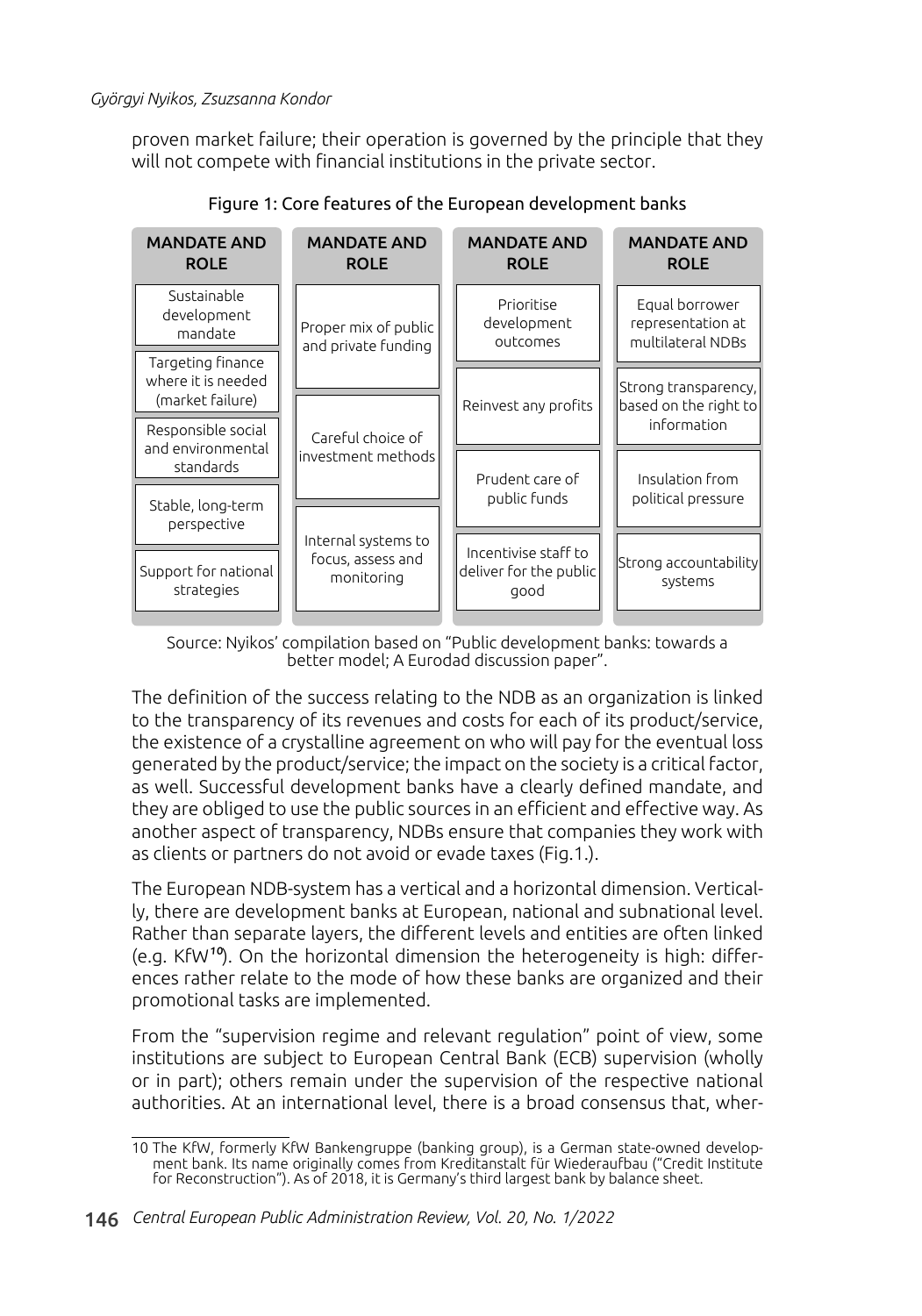proven market failure; their operation is governed by the principle that they will not compete with financial institutions in the private sector.



Figure 1: Core features of the European development banks

Source: Nyikos' compilation based on "Public development banks: towards a better model; A Eurodad discussion paper".

The definition of the success relating to the NDB as an organization is linked to the transparency of its revenues and costs for each of its product/service, the existence of a crystalline agreement on who will pay for the eventual loss generated by the product/service; the impact on the society is a critical factor, as well. Successful development banks have a clearly defined mandate, and they are obliged to use the public sources in an efficient and effective way. As another aspect of transparency, NDBs ensure that companies they work with as clients or partners do not avoid or evade taxes (Fig.1.).

The European NDB-system has a vertical and a horizontal dimension. Vertically, there are development banks at European, national and subnational level. Rather than separate layers, the different levels and entities are often linked (e.g. KfW10). On the horizontal dimension the heterogeneity is high: differences rather relate to the mode of how these banks are organized and their promotional tasks are implemented.

From the "supervision regime and relevant regulation" point of view, some institutions are subject to European Central Bank (ECB) supervision (wholly or in part); others remain under the supervision of the respective national authorities. At an international level, there is a broad consensus that, wher-

<sup>10</sup> The KfW, formerly KfW Bankengruppe (banking group), is a German state-owned development bank. Its name originally comes from Kreditanstalt für Wiederaufbau ("Credit Institute for Reconstruction"). As of 2018, it is Germany's third largest bank by balance sheet.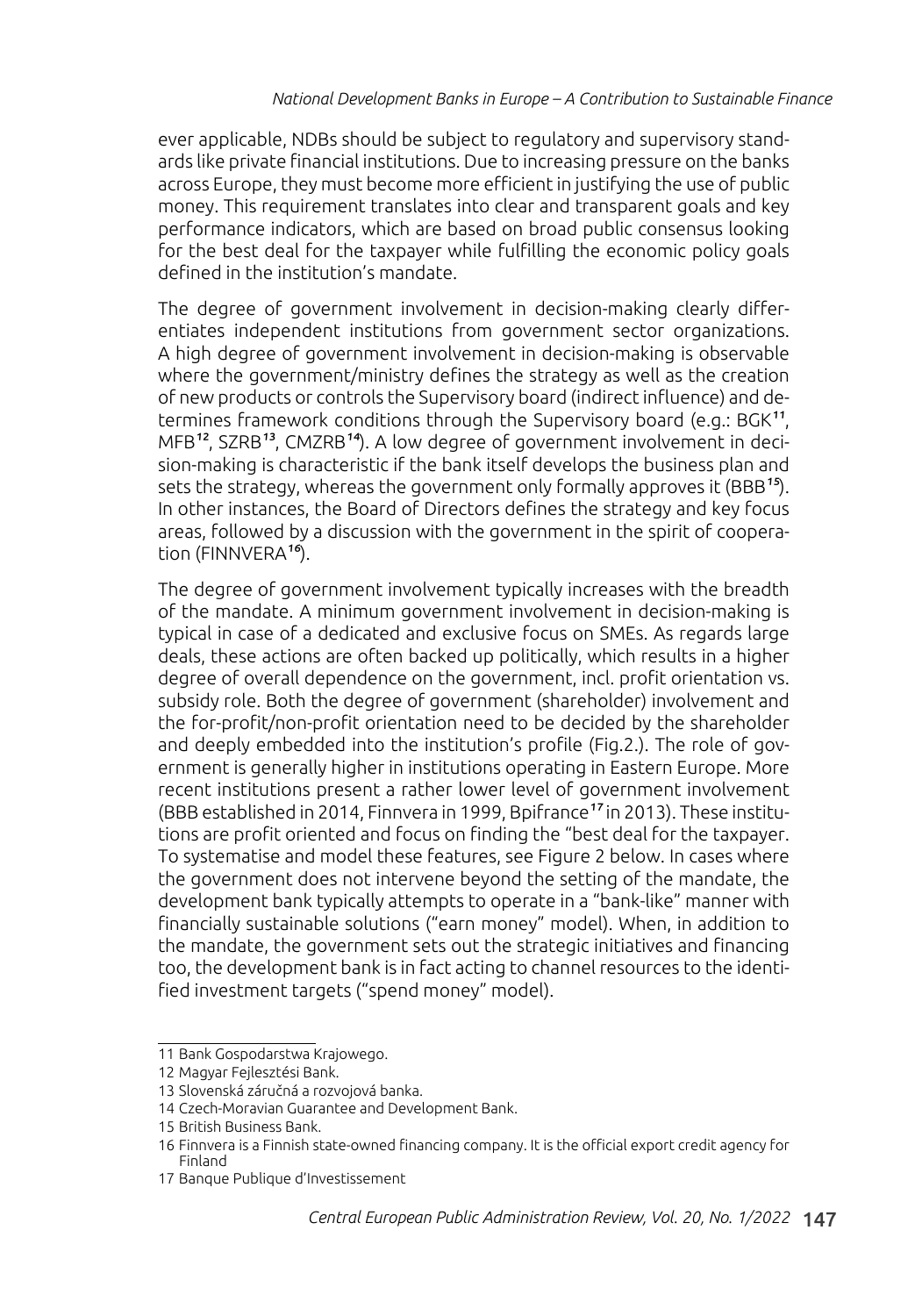ever applicable, NDBs should be subject to regulatory and supervisory standards like private financial institutions. Due to increasing pressure on the banks across Europe, they must become more efficient in justifying the use of public money. This requirement translates into clear and transparent goals and key performance indicators, which are based on broad public consensus looking for the best deal for the taxpayer while fulfilling the economic policy goals defined in the institution's mandate.

The degree of government involvement in decision-making clearly differentiates independent institutions from government sector organizations. A high degree of government involvement in decision-making is observable where the government/ministry defines the strategy as well as the creation of new products or controls the Supervisory board (indirect influence) and determines framework conditions through the Supervisory board (e.g.: BGK<sup>11</sup>, MFB12, SZRB13, CMZRB14). A low degree of government involvement in decision-making is characteristic if the bank itself develops the business plan and sets the strategy, whereas the government only formally approves it (BBB<sup>15</sup>). In other instances, the Board of Directors defines the strategy and key focus areas, followed by a discussion with the government in the spirit of cooperation (FINNVERA<sup>16</sup>).

The degree of government involvement typically increases with the breadth of the mandate. A minimum government involvement in decision-making is typical in case of a dedicated and exclusive focus on SMEs. As regards large deals, these actions are often backed up politically, which results in a higher degree of overall dependence on the government, incl. profit orientation vs. subsidy role. Both the degree of government (shareholder) involvement and the for-profit/non-profit orientation need to be decided by the shareholder and deeply embedded into the institution's profile (Fig.2.). The role of government is generally higher in institutions operating in Eastern Europe. More recent institutions present a rather lower level of government involvement (BBB established in 2014, Finnvera in 1999, Bpifrance17 in 2013). These institutions are profit oriented and focus on finding the "best deal for the taxpayer. To systematise and model these features, see Figure 2 below. In cases where the government does not intervene beyond the setting of the mandate, the development bank typically attempts to operate in a "bank-like" manner with financially sustainable solutions ("earn money" model). When, in addition to the mandate, the government sets out the strategic initiatives and financing too, the development bank is in fact acting to channel resources to the identified investment targets ("spend money" model).

<sup>11</sup> Bank Gospodarstwa Krajowego.

<sup>12</sup> Magyar Fejlesztési Bank.

<sup>13</sup> Slovenská záručná a rozvojová banka.

<sup>14</sup> Czech-Moravian Guarantee and Development Bank.

<sup>15</sup> British Business Bank.

<sup>16</sup> Finnvera is a Finnish state-owned financing company. It is the official export credit agency for Finland

<sup>17</sup> Banque Publique d'Investissement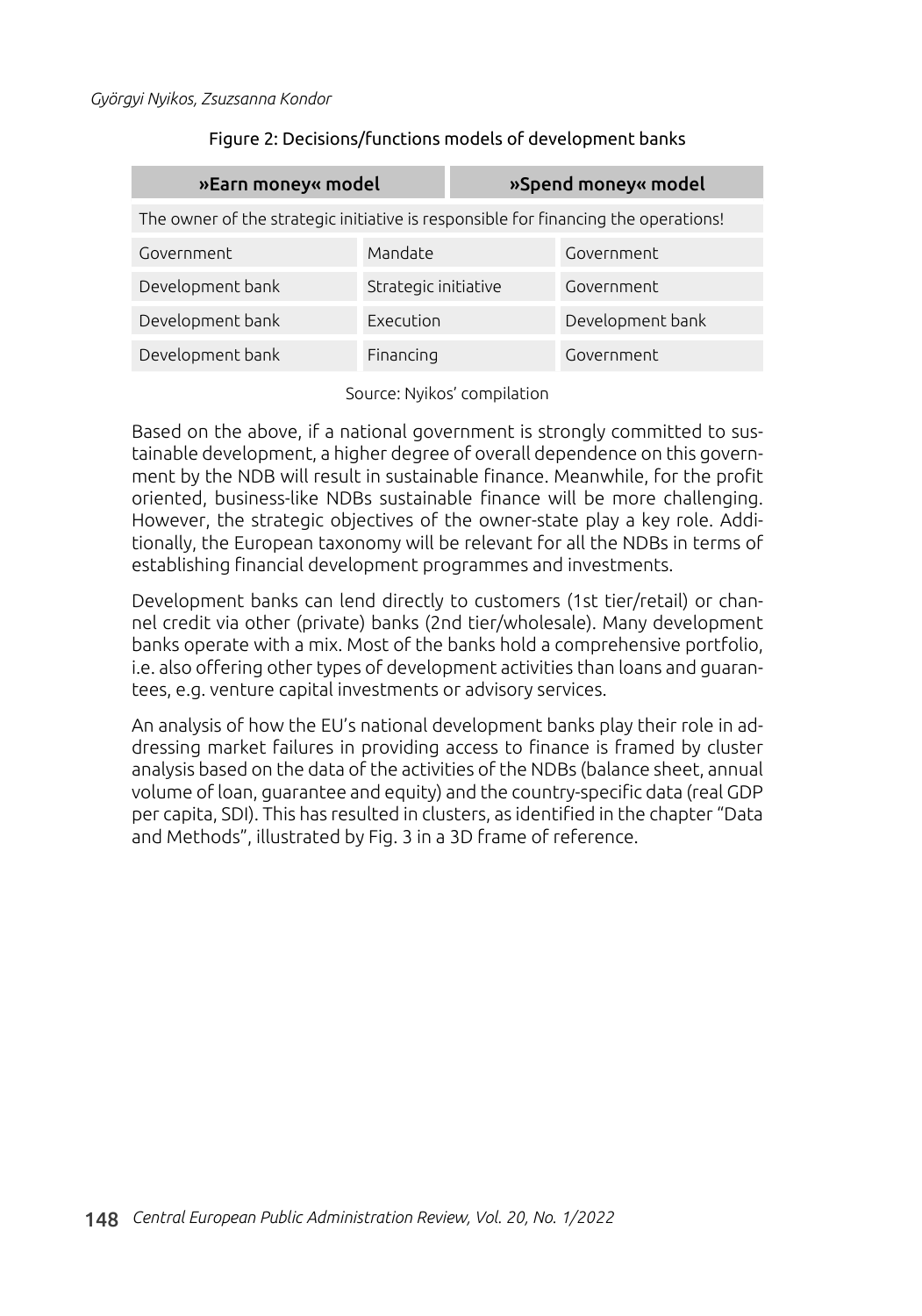### Figure 2: Decisions/functions models of development banks

| »Earn money« model                                                                 |                      | »Spend money« model |                  |  |  |  |  |
|------------------------------------------------------------------------------------|----------------------|---------------------|------------------|--|--|--|--|
| The owner of the strategic initiative is responsible for financing the operations! |                      |                     |                  |  |  |  |  |
| Government                                                                         | Mandate              |                     | Government       |  |  |  |  |
| Development bank                                                                   | Strategic initiative |                     | Government       |  |  |  |  |
| Development bank                                                                   | Execution            |                     | Development bank |  |  |  |  |
| Development bank                                                                   | Financing            |                     | Government       |  |  |  |  |

Source: Nyikos' compilation

Based on the above, if a national government is strongly committed to sustainable development, a higher degree of overall dependence on this government by the NDB will result in sustainable finance. Meanwhile, for the profit oriented, business-like NDBs sustainable finance will be more challenging. However, the strategic objectives of the owner-state play a key role. Additionally, the European taxonomy will be relevant for all the NDBs in terms of establishing financial development programmes and investments.

Development banks can lend directly to customers (1st tier/retail) or channel credit via other (private) banks (2nd tier/wholesale). Many development banks operate with a mix. Most of the banks hold a comprehensive portfolio, i.e. also offering other types of development activities than loans and guarantees, e.g. venture capital investments or advisory services.

An analysis of how the EU's national development banks play their role in addressing market failures in providing access to finance is framed by cluster analysis based on the data of the activities of the NDBs (balance sheet, annual volume of loan, guarantee and equity) and the country-specific data (real GDP per capita, SDI). This has resulted in clusters, as identified in the chapter "Data and Methods", illustrated by Fig. 3 in a 3D frame of reference.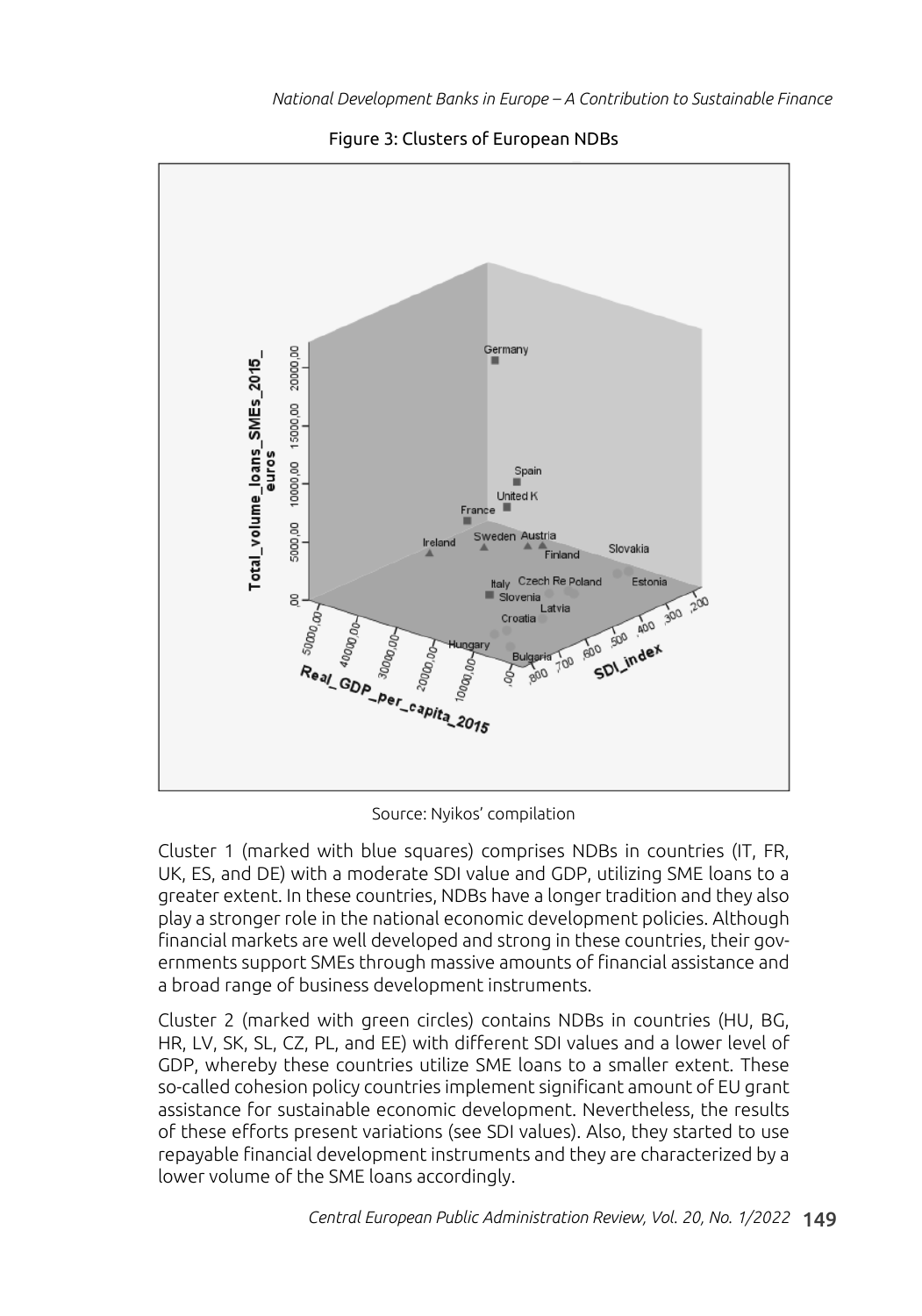

Figure 3: Clusters of European NDBs

Source: Nyikos' compilation

Cluster 1 (marked with blue squares) comprises NDBs in countries (IT, FR, UK, ES, and DE) with a moderate SDI value and GDP, utilizing SME loans to a greater extent. In these countries, NDBs have a longer tradition and they also play a stronger role in the national economic development policies. Although financial markets are well developed and strong in these countries, their governments support SMEs through massive amounts of financial assistance and a broad range of business development instruments.

Cluster 2 (marked with green circles) contains NDBs in countries (HU, BG, HR, LV, SK, SL, CZ, PL, and EE) with different SDI values and a lower level of GDP, whereby these countries utilize SME loans to a smaller extent. These so-called cohesion policy countries implement significant amount of EU grant assistance for sustainable economic development. Nevertheless, the results of these efforts present variations (see SDI values). Also, they started to use repayable financial development instruments and they are characterized by a lower volume of the SME loans accordingly.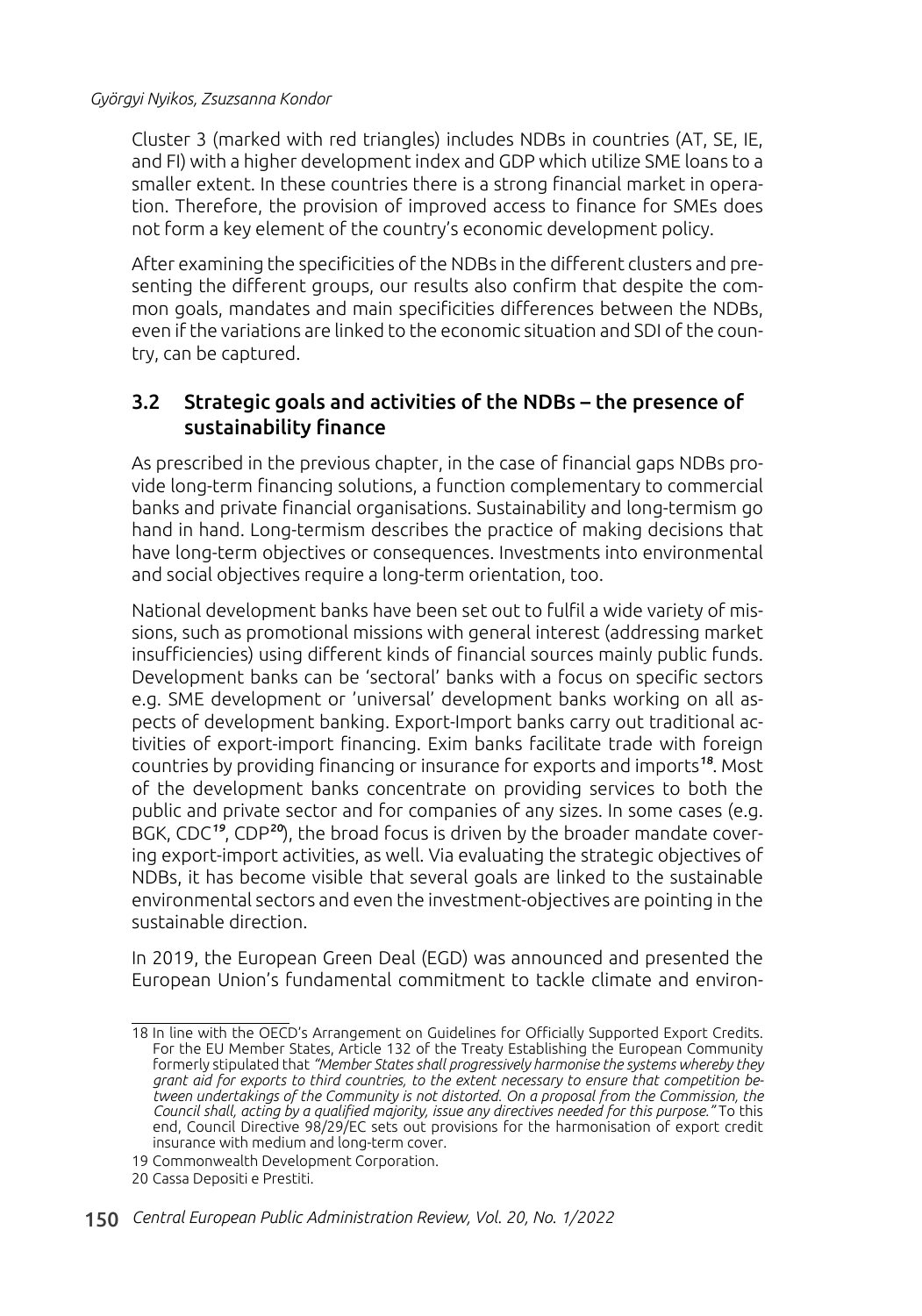Cluster 3 (marked with red triangles) includes NDBs in countries (AT, SE, IE, and FI) with a higher development index and GDP which utilize SME loans to a smaller extent. In these countries there is a strong financial market in operation. Therefore, the provision of improved access to finance for SMEs does not form a key element of the country's economic development policy.

After examining the specificities of the NDBs in the different clusters and presenting the different groups, our results also confirm that despite the common goals, mandates and main specificities differences between the NDBs, even if the variations are linked to the economic situation and SDI of the country, can be captured.

### 3.2 Strategic goals and activities of the NDBs – the presence of sustainability finance

As prescribed in the previous chapter, in the case of financial gaps NDBs provide long-term financing solutions, a function complementary to commercial banks and private financial organisations. Sustainability and long-termism go hand in hand. Long-termism describes the practice of making decisions that have long-term objectives or consequences. Investments into environmental and social objectives require a long-term orientation, too.

National development banks have been set out to fulfil a wide variety of missions, such as promotional missions with general interest (addressing market insufficiencies) using different kinds of financial sources mainly public funds. Development banks can be 'sectoral' banks with a focus on specific sectors e.g. SME development or 'universal' development banks working on all aspects of development banking. Export-Import banks carry out traditional activities of export-import financing. Exim banks facilitate trade with foreign countries by providing financing or insurance for exports and imports<sup>18</sup>. Most of the development banks concentrate on providing services to both the public and private sector and for companies of any sizes. In some cases (e.g. BGK, CDC<sup>19</sup>, CDP<sup>20</sup>), the broad focus is driven by the broader mandate covering export-import activities, as well. Via evaluating the strategic objectives of NDBs, it has become visible that several goals are linked to the sustainable environmental sectors and even the investment-objectives are pointing in the sustainable direction.

In 2019, the European Green Deal (EGD) was announced and presented the European Union's fundamental commitment to tackle climate and environ-

<sup>18</sup> In line with the OECD's Arrangement on Guidelines for Officially Supported Export Credits. For the EU Member States, Article 132 of the Treaty Establishing the European Community formerly stipulated that *"Member States shall progressively harmonise the systems whereby they grant aid for exports to third countries, to the extent necessary to ensure that competition between undertakings of the Community is not distorted. On a proposal from the Commission, the Council shall, acting by a qualified majority, issue any directives needed for this purpose."* To this end, Council Directive 98/29/EC sets out provisions for the harmonisation of export credit insurance with medium and long-term cover.

<sup>19</sup> Commonwealth Development Corporation.

<sup>20</sup> Cassa Depositi e Prestiti.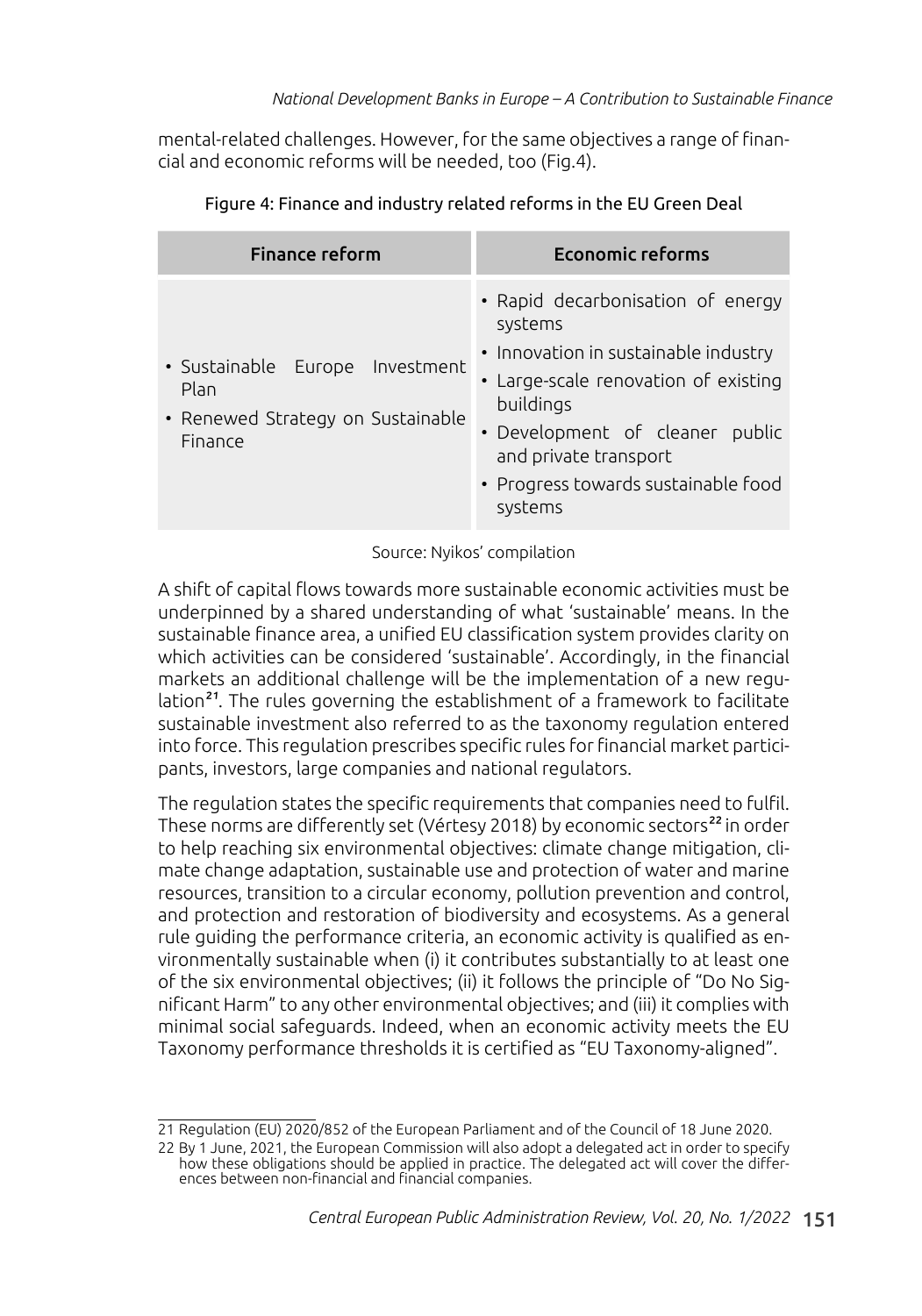mental-related challenges. However, for the same objectives a range of financial and economic reforms will be needed, too (Fig.4).

| <b>Finance reform</b>                                                                   | <b>Economic reforms</b>                                                                                                                                                                                                                                 |
|-----------------------------------------------------------------------------------------|---------------------------------------------------------------------------------------------------------------------------------------------------------------------------------------------------------------------------------------------------------|
| · Sustainable Europe Investment<br>Plan<br>• Renewed Strategy on Sustainable<br>Finance | • Rapid decarbonisation of energy<br>systems<br>• Innovation in sustainable industry<br>• Large-scale renovation of existing<br>buildings<br>• Development of cleaner public<br>and private transport<br>• Progress towards sustainable food<br>systems |

| Figure 4: Finance and industry related reforms in the EU Green Deal |  |  |  |
|---------------------------------------------------------------------|--|--|--|
|                                                                     |  |  |  |
|                                                                     |  |  |  |

Source: Nyikos' compilation

A shift of capital flows towards more sustainable economic activities must be underpinned by a shared understanding of what 'sustainable' means. In the sustainable finance area, a unified EU classification system provides clarity on which activities can be considered 'sustainable'. Accordingly, in the financial markets an additional challenge will be the implementation of a new regulation<sup>21</sup>. The rules governing the establishment of a framework to facilitate sustainable investment also referred to as the taxonomy regulation entered into force. This regulation prescribes specific rules for financial market participants, investors, large companies and national regulators.

The regulation states the specific requirements that companies need to fulfil. These norms are differently set (Vértesy 2018) by economic sectors<sup>22</sup> in order to help reaching six environmental objectives: climate change mitigation, climate change adaptation, sustainable use and protection of water and marine resources, transition to a circular economy, pollution prevention and control, and protection and restoration of biodiversity and ecosystems. As a general rule guiding the performance criteria, an economic activity is qualified as environmentally sustainable when (i) it contributes substantially to at least one of the six environmental objectives; (ii) it follows the principle of "Do No Significant Harm" to any other environmental objectives; and (iii) it complies with minimal social safeguards. Indeed, when an economic activity meets the EU Taxonomy performance thresholds it is certified as "EU Taxonomy-aligned".

<sup>21</sup> Regulation (EU) 2020/852 of the European Parliament and of the Council of 18 June 2020.

<sup>22</sup> By 1 June, 2021, the European Commission will also adopt a delegated act in order to specify how these obligations should be applied in practice. The delegated act will cover the differences between non-financial and financial companies.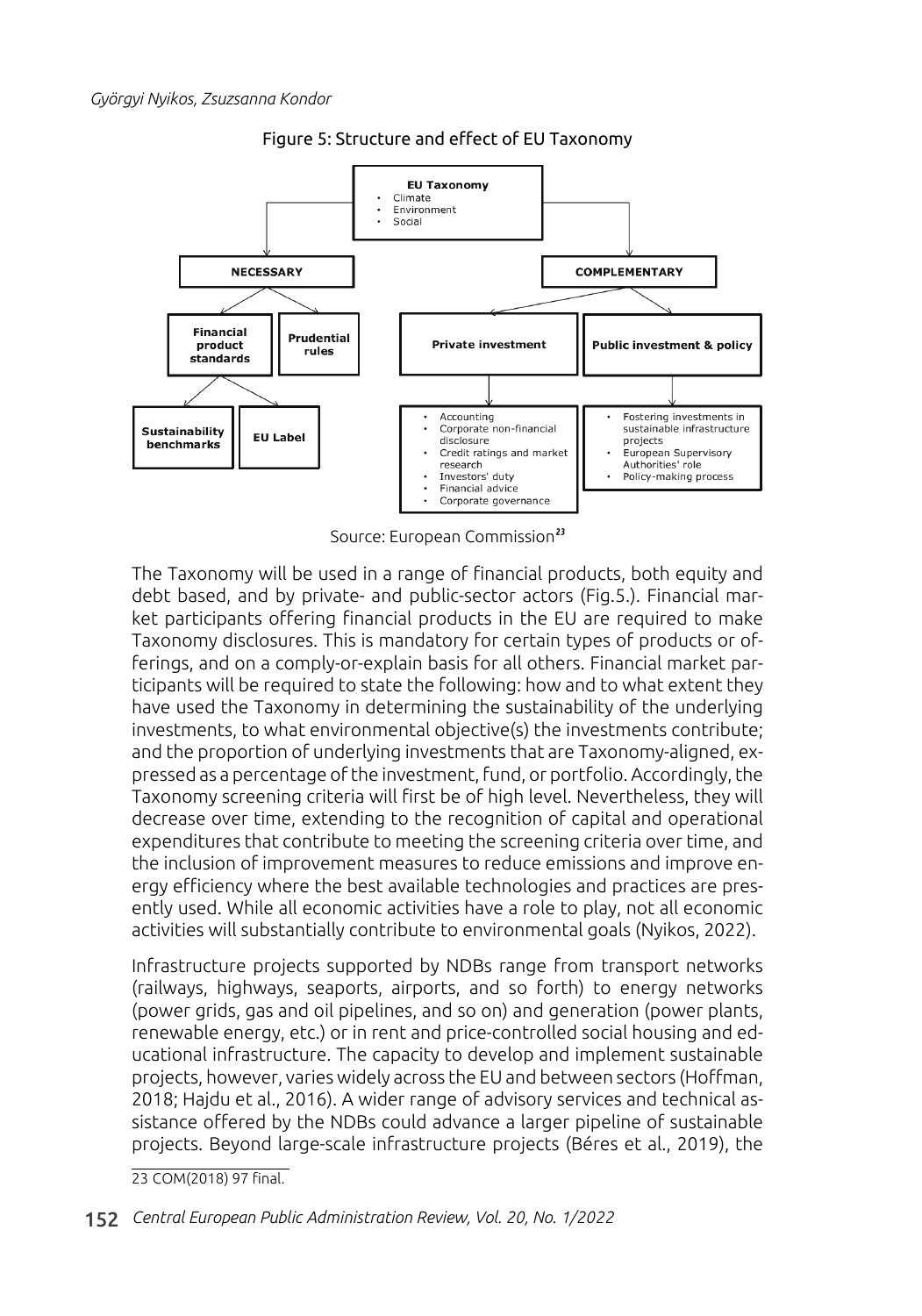

Figure 5: Structure and effect of EU Taxonomy

Source: European Commission<sup>23</sup>

The Taxonomy will be used in a range of financial products, both equity and debt based, and by private- and public-sector actors (Fig.5.). Financial market participants offering financial products in the EU are required to make Taxonomy disclosures. This is mandatory for certain types of products or offerings, and on a comply-or-explain basis for all others. Financial market participants will be required to state the following: how and to what extent they have used the Taxonomy in determining the sustainability of the underlying investments, to what environmental objective(s) the investments contribute; and the proportion of underlying investments that are Taxonomy-aligned, expressed as a percentage of the investment, fund, or portfolio. Accordingly, the Taxonomy screening criteria will first be of high level. Nevertheless, they will decrease over time, extending to the recognition of capital and operational expenditures that contribute to meeting the screening criteria over time, and the inclusion of improvement measures to reduce emissions and improve energy efficiency where the best available technologies and practices are presently used. While all economic activities have a role to play, not all economic activities will substantially contribute to environmental goals (Nyikos, 2022).

Infrastructure projects supported by NDBs range from transport networks (railways, highways, seaports, airports, and so forth) to energy networks (power grids, gas and oil pipelines, and so on) and generation (power plants, renewable energy, etc.) or in rent and price-controlled social housing and educational infrastructure. The capacity to develop and implement sustainable projects, however, varies widely across the EU and between sectors (Hoffman, 2018; Hajdu et al., 2016). A wider range of advisory services and technical assistance offered by the NDBs could advance a larger pipeline of sustainable projects. Beyond large-scale infrastructure projects (Béres et al., 2019), the

23 COM(2018) 97 final.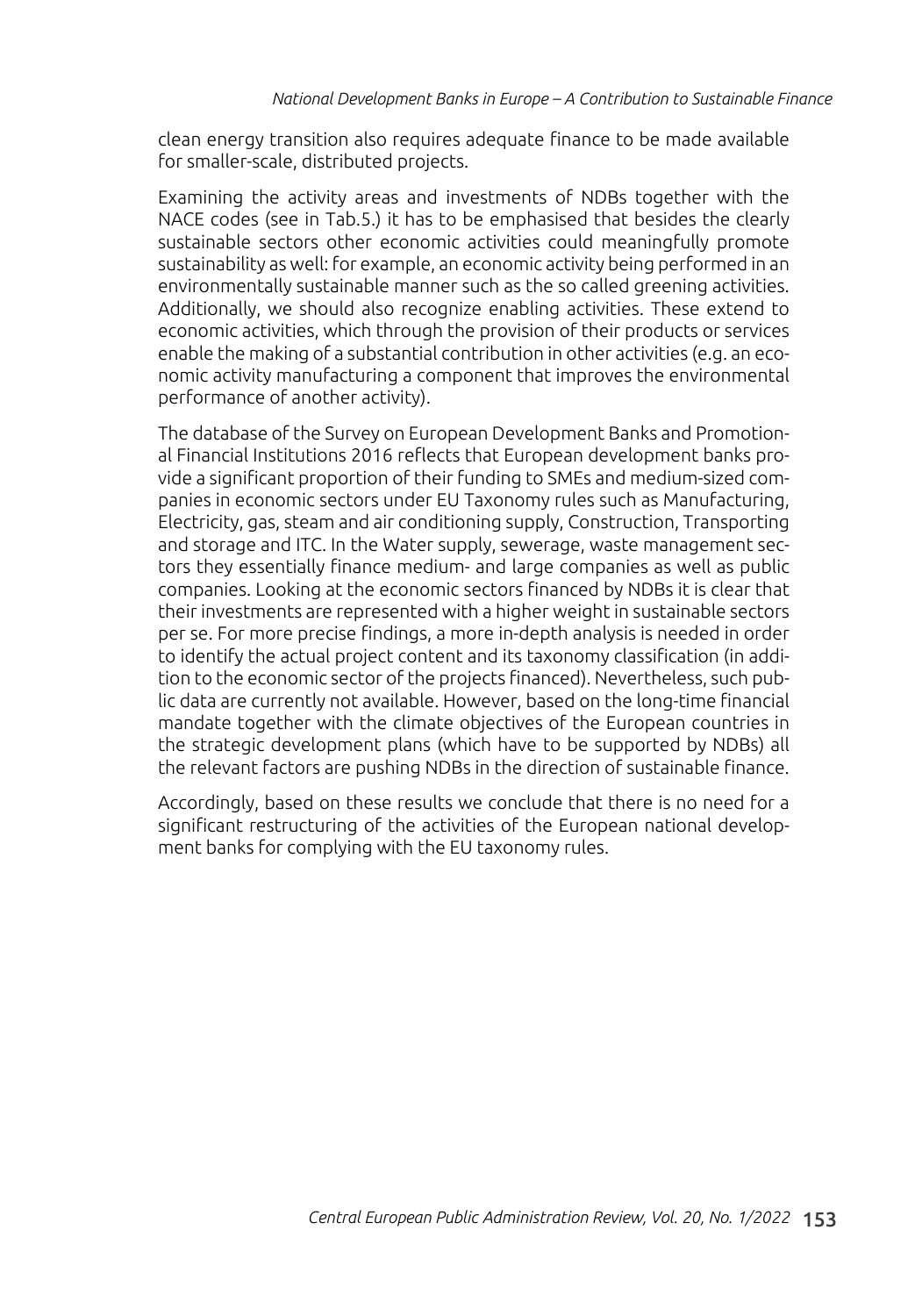clean energy transition also requires adequate finance to be made available for smaller-scale, distributed projects.

Examining the activity areas and investments of NDBs together with the NACE codes (see in Tab.5.) it has to be emphasised that besides the clearly sustainable sectors other economic activities could meaningfully promote sustainability as well: for example, an economic activity being performed in an environmentally sustainable manner such as the so called greening activities. Additionally, we should also recognize enabling activities. These extend to economic activities, which through the provision of their products or services enable the making of a substantial contribution in other activities (e.g. an economic activity manufacturing a component that improves the environmental performance of another activity).

The database of the Survey on European Development Banks and Promotional Financial Institutions 2016 reflects that European development banks provide a significant proportion of their funding to SMEs and medium-sized companies in economic sectors under EU Taxonomy rules such as Manufacturing, Electricity, gas, steam and air conditioning supply, Construction, Transporting and storage and ITC. In the Water supply, sewerage, waste management sectors they essentially finance medium- and large companies as well as public companies. Looking at the economic sectors financed by NDBs it is clear that their investments are represented with a higher weight in sustainable sectors per se. For more precise findings, a more in-depth analysis is needed in order to identify the actual project content and its taxonomy classification (in addition to the economic sector of the projects financed). Nevertheless, such public data are currently not available. However, based on the long-time financial mandate together with the climate objectives of the European countries in the strategic development plans (which have to be supported by NDBs) all the relevant factors are pushing NDBs in the direction of sustainable finance.

Accordingly, based on these results we conclude that there is no need for a significant restructuring of the activities of the European national development banks for complying with the EU taxonomy rules.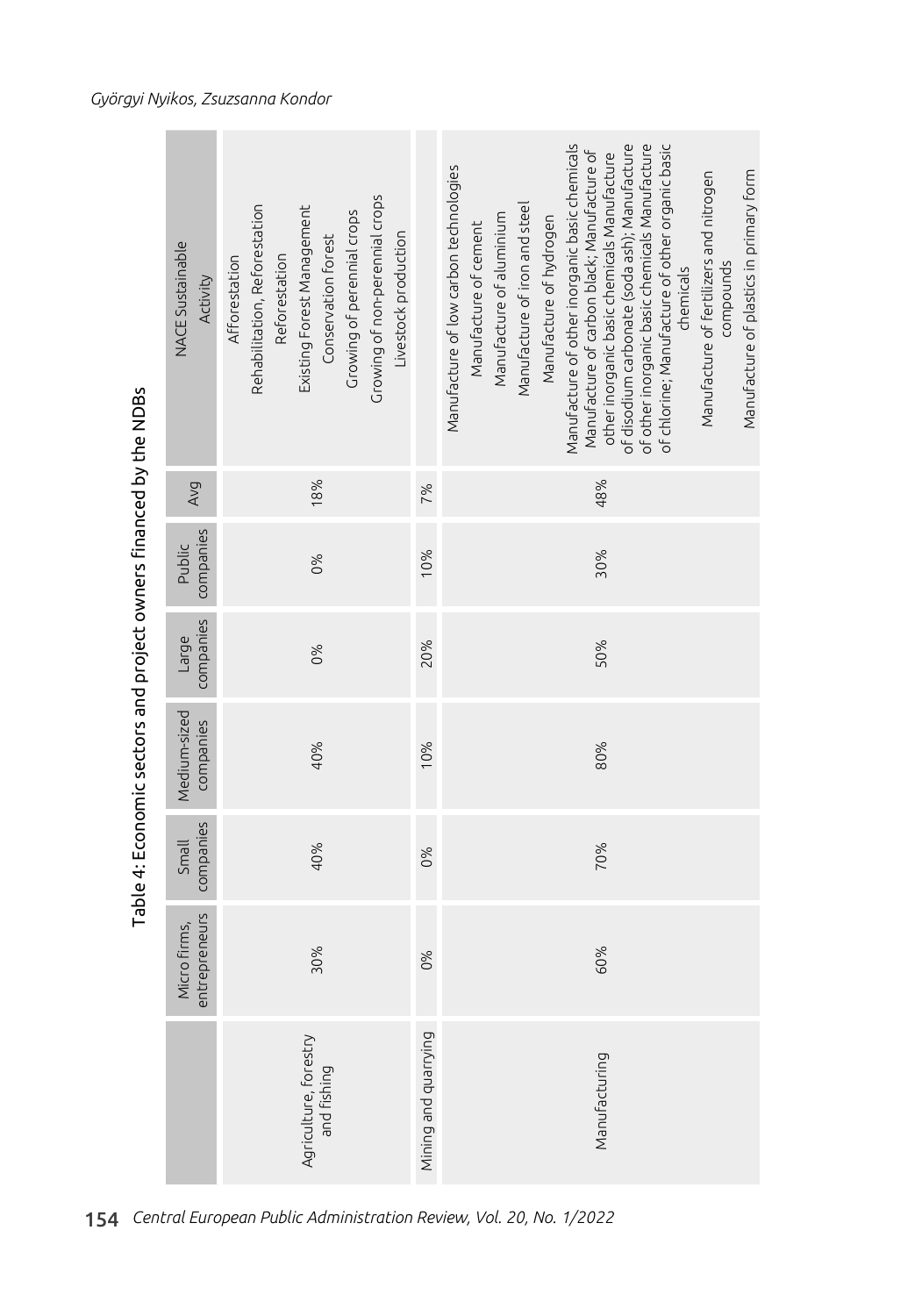|                                                                   | <b>NACE Sustainable</b><br>Activity | Growing of non-perennial crops<br>Rehabilitation, Reforestation<br>Existing Forest Management<br>Growing of perennial crops<br>Livestock production<br>Conservation forest<br>Reforestation<br>Afforestation |                      | Manufacture of other inorganic basic chemicals<br>of disodium carbonate (soda ash); Manufacture<br>of other inorganic basic chemicals Manufacture<br>of chlorine; Manufacture of other organic basic<br>Manufacture of carbon black; Manufacture of<br>other inorganic basic chemicals Manufacture<br>Manufacture of low carbon technologies<br>Manufacture of plastics in primary form<br>Manufacture of fertilizers and nitrogen<br>Manufacture of iron and steel<br>Manufacture of aluminium<br>Manufacture of hydrogen<br>Manufacture of cement<br>compounds<br>chemicals |
|-------------------------------------------------------------------|-------------------------------------|--------------------------------------------------------------------------------------------------------------------------------------------------------------------------------------------------------------|----------------------|-------------------------------------------------------------------------------------------------------------------------------------------------------------------------------------------------------------------------------------------------------------------------------------------------------------------------------------------------------------------------------------------------------------------------------------------------------------------------------------------------------------------------------------------------------------------------------|
|                                                                   | Avg                                 | 18%                                                                                                                                                                                                          | 7%                   | 48%                                                                                                                                                                                                                                                                                                                                                                                                                                                                                                                                                                           |
|                                                                   | companies<br>Public                 | 0%                                                                                                                                                                                                           | 10%                  | 30%                                                                                                                                                                                                                                                                                                                                                                                                                                                                                                                                                                           |
|                                                                   | companies<br>Large                  | 0%                                                                                                                                                                                                           | 20%                  | 50%                                                                                                                                                                                                                                                                                                                                                                                                                                                                                                                                                                           |
| Table 4: Economic sectors and project owners financed by the NDBs | Medium-sized<br>companies           | 40%                                                                                                                                                                                                          | 10%                  | 80%                                                                                                                                                                                                                                                                                                                                                                                                                                                                                                                                                                           |
|                                                                   | companies<br>Small                  | 40%                                                                                                                                                                                                          | 0%                   | 70%                                                                                                                                                                                                                                                                                                                                                                                                                                                                                                                                                                           |
|                                                                   | entrepreneurs<br>Micro firms,       | 30%                                                                                                                                                                                                          | 0%                   | 60%                                                                                                                                                                                                                                                                                                                                                                                                                                                                                                                                                                           |
|                                                                   |                                     | Agriculture, forestry<br>and fishing                                                                                                                                                                         | Mining and quarrying | Manufacturing                                                                                                                                                                                                                                                                                                                                                                                                                                                                                                                                                                 |
|                                                                   |                                     |                                                                                                                                                                                                              |                      |                                                                                                                                                                                                                                                                                                                                                                                                                                                                                                                                                                               |

Table 4: Economic sectors and project owners financed by the NDBs

154 *Central European Public Administration Review, Vol. 20, No. 1/2022*

 $\sim$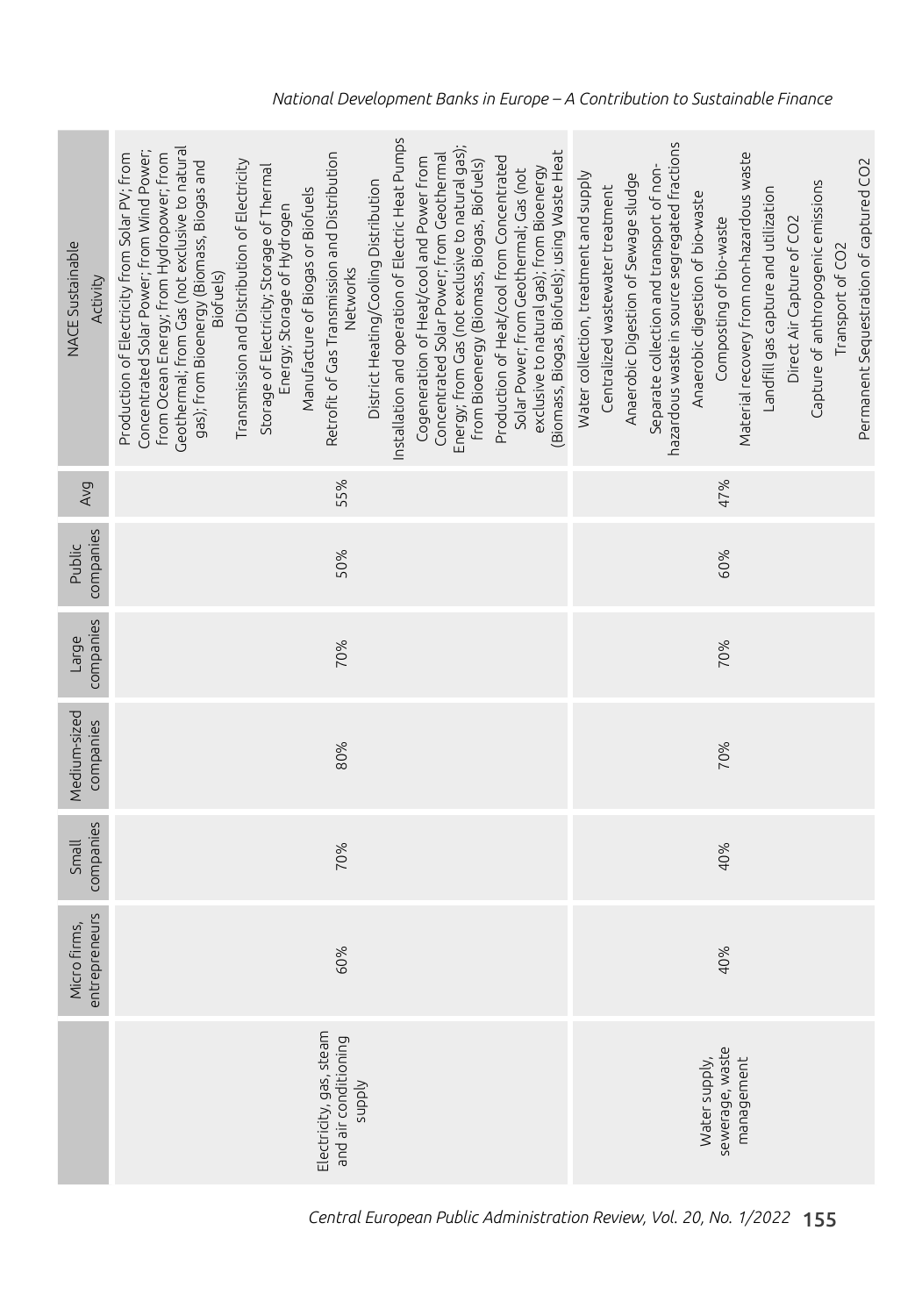| <b>NACE Sustainable</b><br>Activity | nstallation and operation of Electric Heat Pumps<br>Energy; from Gas (not exclusive to natural gas);<br>Geothermal; from Gas (not exclusive to natural<br>(Biomass, Biogas, Biofuels); using Waste Heat<br>Concentrated Solar Power; from Wind Power;<br>Retrofit of Gas Transmission and Distribution<br>Production of Electricity from Solar PV; from<br>from Ocean Energy; from Hydropower; from<br>Concentrated Solar Power; from Geothermal<br>Production of Heat/cool from Concentrated<br>Cogeneration of Heat/cool and Power from<br>gas); from Bioenergy (Biomass, Biogas and<br>Transmission and Distribution of Electricity<br>from Bioenergy (Biomass, Biogas, Biofuels)<br>Storage of Electricity; Storage of Thermal<br>exclusive to natural gas); from Bioenergy<br>Solar Power; from Geothermal; Gas (not<br>District Heating/Cooling Distribution<br>Manufacture of Biogas or Biofuels<br>Energy; Storage of Hydrogen<br>Networks<br>Biofuels) | hazardous waste in source segregated fractions<br>Material recovery from non-hazardous waste<br>Permanent Sequestration of captured CO2<br>Separate collection and transport of non-<br>Water collection, treatment and supply<br>Anaerobic Digestion of Sewage sludge<br>Capture of anthropogenic emissions<br>Centralized wastewater treatment<br>Landfill gas capture and utilization<br>Anaerobic digestion of bio-waste<br>Composting of bio-waste<br>Direct Air Capture of CO2<br>Transport of CO2 |
|-------------------------------------|-----------------------------------------------------------------------------------------------------------------------------------------------------------------------------------------------------------------------------------------------------------------------------------------------------------------------------------------------------------------------------------------------------------------------------------------------------------------------------------------------------------------------------------------------------------------------------------------------------------------------------------------------------------------------------------------------------------------------------------------------------------------------------------------------------------------------------------------------------------------------------------------------------------------------------------------------------------------|----------------------------------------------------------------------------------------------------------------------------------------------------------------------------------------------------------------------------------------------------------------------------------------------------------------------------------------------------------------------------------------------------------------------------------------------------------------------------------------------------------|
| Avg                                 | 55%                                                                                                                                                                                                                                                                                                                                                                                                                                                                                                                                                                                                                                                                                                                                                                                                                                                                                                                                                             | 47%                                                                                                                                                                                                                                                                                                                                                                                                                                                                                                      |
| companies<br>Public                 | 50%                                                                                                                                                                                                                                                                                                                                                                                                                                                                                                                                                                                                                                                                                                                                                                                                                                                                                                                                                             | 60%                                                                                                                                                                                                                                                                                                                                                                                                                                                                                                      |
| companies<br>Large                  | 70%                                                                                                                                                                                                                                                                                                                                                                                                                                                                                                                                                                                                                                                                                                                                                                                                                                                                                                                                                             | 70%                                                                                                                                                                                                                                                                                                                                                                                                                                                                                                      |
| Medium-sized<br>companies           | 80%                                                                                                                                                                                                                                                                                                                                                                                                                                                                                                                                                                                                                                                                                                                                                                                                                                                                                                                                                             | 70%                                                                                                                                                                                                                                                                                                                                                                                                                                                                                                      |
| companies<br>Small                  | 70%                                                                                                                                                                                                                                                                                                                                                                                                                                                                                                                                                                                                                                                                                                                                                                                                                                                                                                                                                             | 40%                                                                                                                                                                                                                                                                                                                                                                                                                                                                                                      |
| entrepreneurs<br>Micro firms,       | 60%                                                                                                                                                                                                                                                                                                                                                                                                                                                                                                                                                                                                                                                                                                                                                                                                                                                                                                                                                             | 40%                                                                                                                                                                                                                                                                                                                                                                                                                                                                                                      |
|                                     | Electricity, gas, steam<br>and air conditioning<br><b>Addns</b>                                                                                                                                                                                                                                                                                                                                                                                                                                                                                                                                                                                                                                                                                                                                                                                                                                                                                                 | sewerage, waste<br>management<br>Water supply,                                                                                                                                                                                                                                                                                                                                                                                                                                                           |

*National Development Banks in Europe – A Contribution to Sustainable Finance*

*Central European Public Administration Review, Vol. 20, No. 1/2022* 155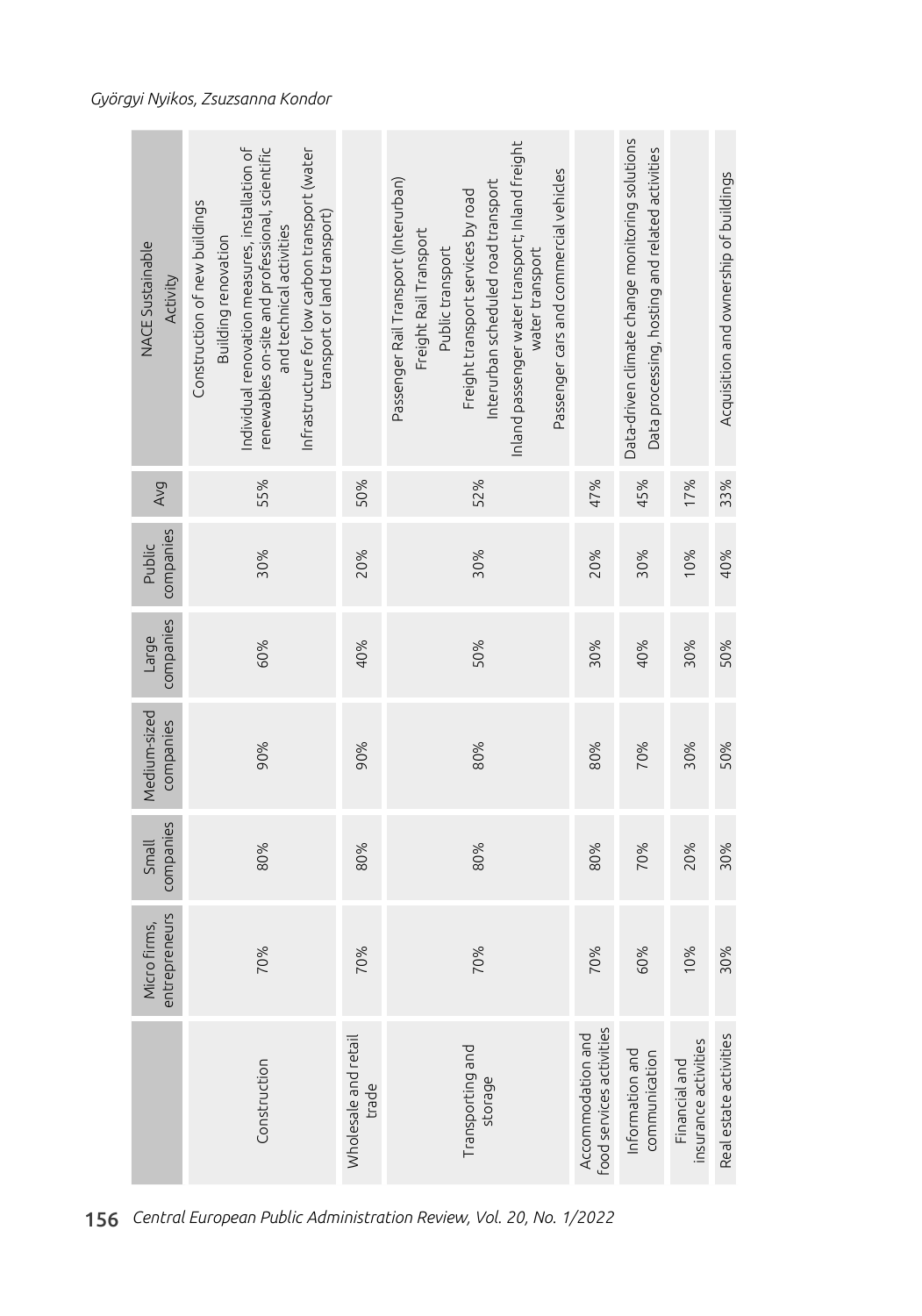| NACE Sustainable<br>Activity       | Individual renovation measures, installation of<br>renewables on-site and professional, scientific<br>Infrastructure for low carbon transport (water<br>Construction of new buildings<br>transport or land transport)<br>and technical activities<br>Building renovation |                               | Inland passenger water transport; Inland freight<br>Passenger cars and commercial vehicles<br>Passenger Rail Transport (Interurban)<br>nterurban scheduled road transport<br>Freight transport services by road<br>Freight Rail Transport<br>Public transport<br>water transport |                                               | Data-driven climate change monitoring solutions<br>Data processing, hosting and related activities |                                       | Acquisition and ownership of buildings |
|------------------------------------|--------------------------------------------------------------------------------------------------------------------------------------------------------------------------------------------------------------------------------------------------------------------------|-------------------------------|----------------------------------------------------------------------------------------------------------------------------------------------------------------------------------------------------------------------------------------------------------------------------------|-----------------------------------------------|----------------------------------------------------------------------------------------------------|---------------------------------------|----------------------------------------|
| Avg                                | 55%                                                                                                                                                                                                                                                                      | 50%                           | 52%                                                                                                                                                                                                                                                                              | 47%                                           | 45%                                                                                                | 17%                                   | 33%                                    |
| companies<br>Public                | 30%                                                                                                                                                                                                                                                                      | 20%                           | 30%                                                                                                                                                                                                                                                                              | 20%                                           | 30%                                                                                                | 10%                                   | 40%                                    |
| companies<br>Large                 | 60%                                                                                                                                                                                                                                                                      | 40%                           | 50%                                                                                                                                                                                                                                                                              | 30%                                           | 40%                                                                                                | 30%                                   | 50%                                    |
| Medium-sized<br>companies          | 90%                                                                                                                                                                                                                                                                      | 90%                           | 80%                                                                                                                                                                                                                                                                              | 80%                                           | 70%                                                                                                | 30%                                   | 50%                                    |
| companies<br>Small                 | 80%                                                                                                                                                                                                                                                                      | 80%                           | 80%                                                                                                                                                                                                                                                                              | 80%                                           | 70%                                                                                                | 20%                                   | 30%                                    |
| entrepreneurs<br>b firms,<br>Micro | 70%                                                                                                                                                                                                                                                                      | 70%                           | 70%                                                                                                                                                                                                                                                                              | 70%                                           | 60%                                                                                                | 10%                                   | 30%                                    |
|                                    | Construction                                                                                                                                                                                                                                                             | Wholesale and retail<br>trade | Transporting and<br>storage                                                                                                                                                                                                                                                      | food services activities<br>Accommodation and | Information and<br>communication                                                                   | insurance activities<br>Financial and | Real estate activities                 |

156 *Central European Public Administration Review, Vol. 20, No. 1/2022*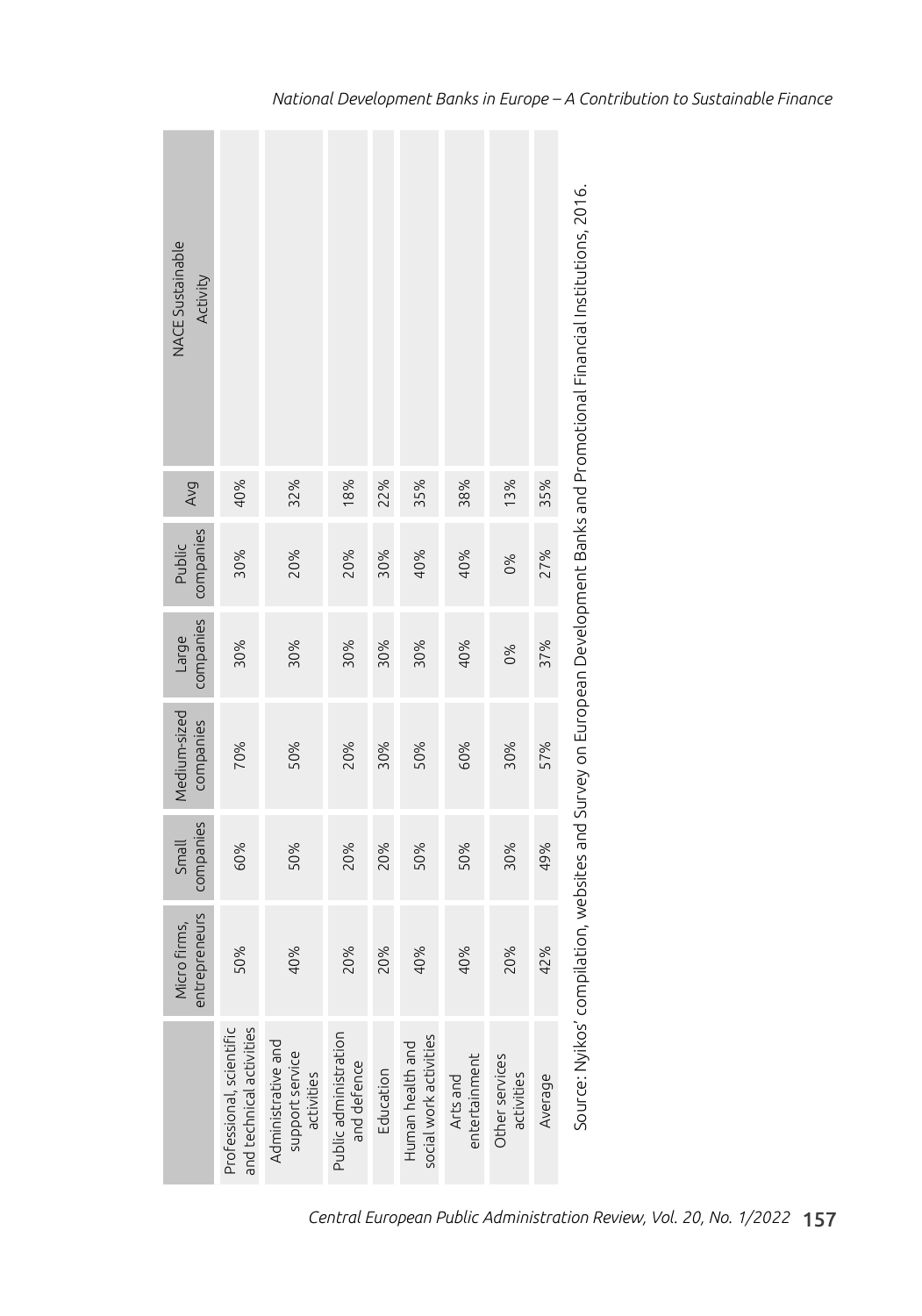| NACE Sustainable<br>Activity  |                                                      |                                                     |                                      |           |                                            |                           |                              |         | Source: Nyikos' compilation, websites and Survey on European Development Banks and Promotional Einancial Institutions, 2016. |
|-------------------------------|------------------------------------------------------|-----------------------------------------------------|--------------------------------------|-----------|--------------------------------------------|---------------------------|------------------------------|---------|------------------------------------------------------------------------------------------------------------------------------|
| Avg                           | 40%                                                  | 32%                                                 | 18%                                  | 22%       | 35%                                        | 38%                       | 13%                          | 35%     |                                                                                                                              |
| companies<br>Public           | 30%                                                  | 20%                                                 | 20%                                  | 30%       | 40%                                        | 40%                       | 0%                           | 27%     |                                                                                                                              |
| companies<br>Large            | 30%                                                  | 30%                                                 | 30%                                  | 30%       | 30%                                        | 40%                       | 0%                           | 37%     |                                                                                                                              |
| Medium-sized<br>companies     | 70%                                                  | 50%                                                 | 20%                                  | 30%       | 50%                                        | 60%                       | 30%                          | 57%     |                                                                                                                              |
| companies<br>Small            | 60%                                                  | 50%                                                 | 20%                                  | 20%       | 50%                                        | 50%                       | 30%                          | 49%     |                                                                                                                              |
| entrepreneurs<br>Micro firms, | 50%                                                  | 40%                                                 | 20%                                  | 20%       | 40%                                        | 40%                       | 20%                          | 42%     |                                                                                                                              |
|                               | and technical activities<br>Professional, scientific | Administrative and<br>support service<br>activities | Public administration<br>and defence | Education | social work activities<br>Human health and | entertainment<br>Arts and | Other services<br>activities | Average |                                                                                                                              |

Source: Nyikos' compilation, websites and Survey on European Development Banks and Promotional Financial Institutions, 2016.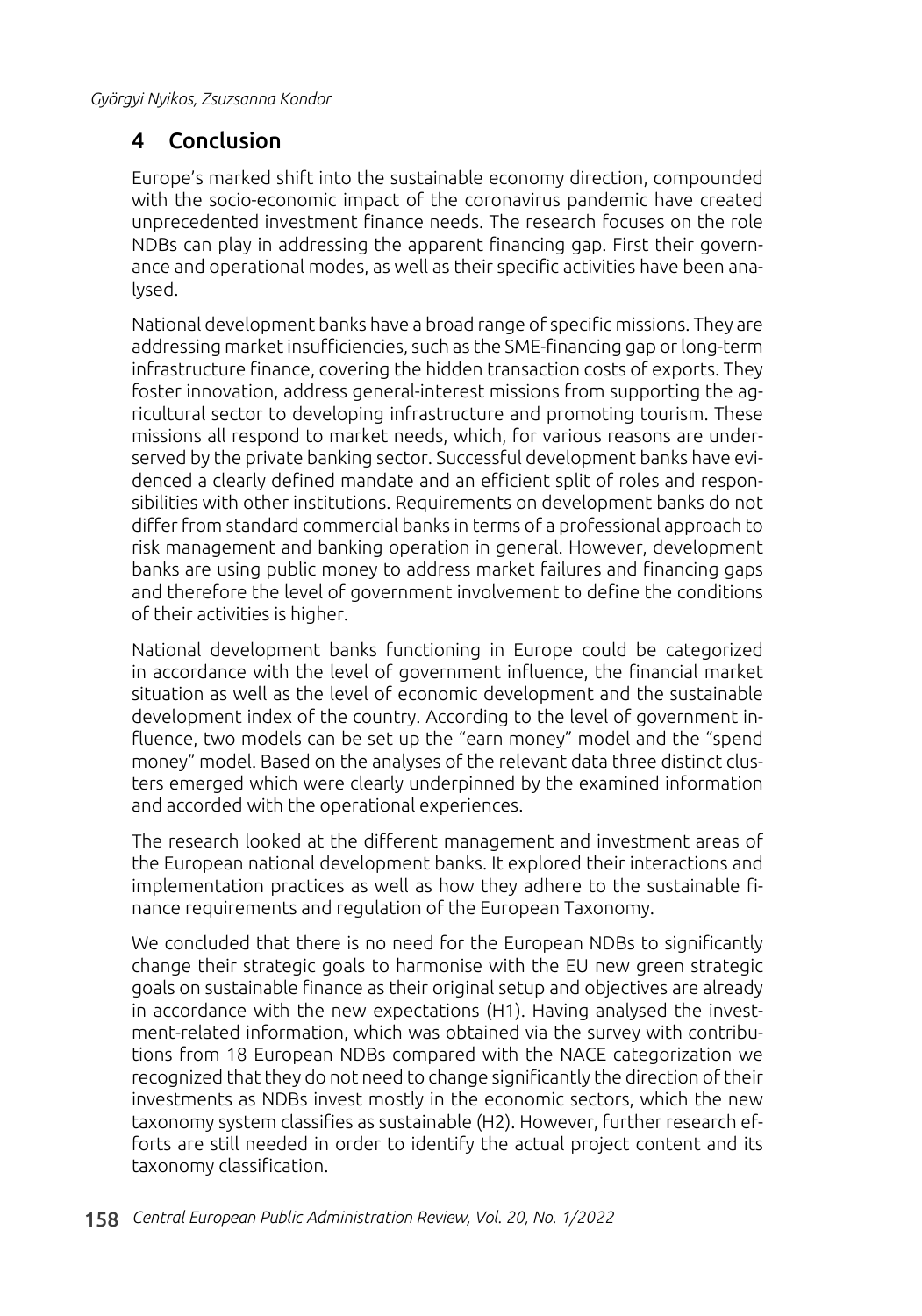# 4 Conclusion

Europe's marked shift into the sustainable economy direction, compounded with the socio-economic impact of the coronavirus pandemic have created unprecedented investment finance needs. The research focuses on the role NDBs can play in addressing the apparent financing gap. First their governance and operational modes, as well as their specific activities have been analysed.

National development banks have a broad range of specific missions. They are addressing market insufficiencies, such as the SME-financing gap or long-term infrastructure finance, covering the hidden transaction costs of exports. They foster innovation, address general-interest missions from supporting the agricultural sector to developing infrastructure and promoting tourism. These missions all respond to market needs, which, for various reasons are underserved by the private banking sector. Successful development banks have evidenced a clearly defined mandate and an efficient split of roles and responsibilities with other institutions. Requirements on development banks do not differ from standard commercial banks in terms of a professional approach to risk management and banking operation in general. However, development banks are using public money to address market failures and financing gaps and therefore the level of government involvement to define the conditions of their activities is higher.

National development banks functioning in Europe could be categorized in accordance with the level of government influence, the financial market situation as well as the level of economic development and the sustainable development index of the country. According to the level of government influence, two models can be set up the "earn money" model and the "spend money" model. Based on the analyses of the relevant data three distinct clusters emerged which were clearly underpinned by the examined information and accorded with the operational experiences.

The research looked at the different management and investment areas of the European national development banks. It explored their interactions and implementation practices as well as how they adhere to the sustainable finance requirements and regulation of the European Taxonomy.

We concluded that there is no need for the European NDBs to significantly change their strategic goals to harmonise with the EU new green strategic goals on sustainable finance as their original setup and objectives are already in accordance with the new expectations (H1). Having analysed the investment-related information, which was obtained via the survey with contributions from 18 European NDBs compared with the NACE categorization we recognized that they do not need to change significantly the direction of their investments as NDBs invest mostly in the economic sectors, which the new taxonomy system classifies as sustainable (H2). However, further research efforts are still needed in order to identify the actual project content and its taxonomy classification.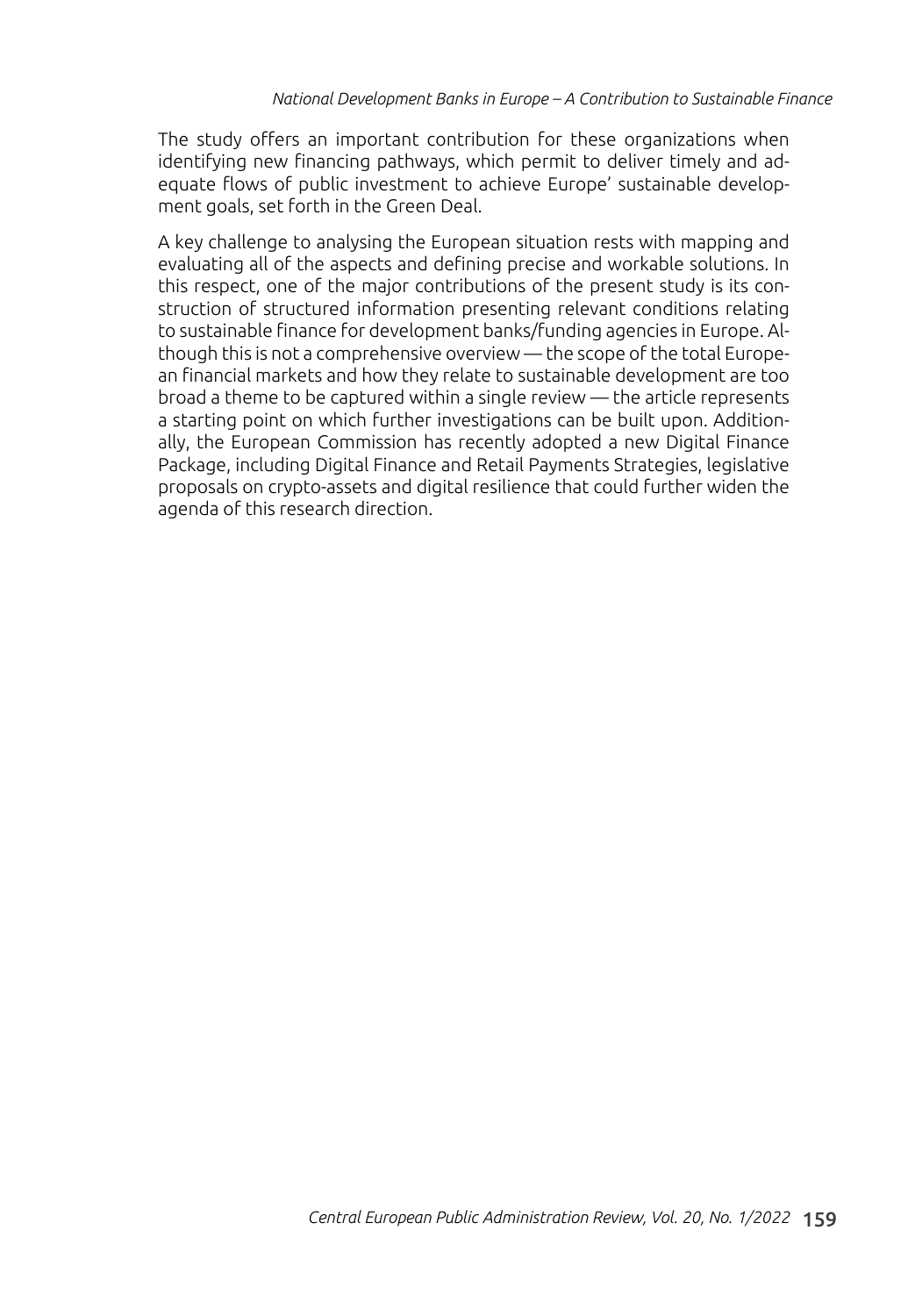The study offers an important contribution for these organizations when identifying new financing pathways, which permit to deliver timely and adequate flows of public investment to achieve Europe' sustainable development goals, set forth in the Green Deal.

A key challenge to analysing the European situation rests with mapping and evaluating all of the aspects and defining precise and workable solutions. In this respect, one of the major contributions of the present study is its construction of structured information presenting relevant conditions relating to sustainable finance for development banks/funding agencies in Europe. Although this is not a comprehensive overview — the scope of the total European financial markets and how they relate to sustainable development are too broad a theme to be captured within a single review — the article represents a starting point on which further investigations can be built upon. Additionally, the European Commission has recently adopted a new Digital Finance Package, including Digital Finance and Retail Payments Strategies, legislative proposals on crypto-assets and digital resilience that could further widen the agenda of this research direction.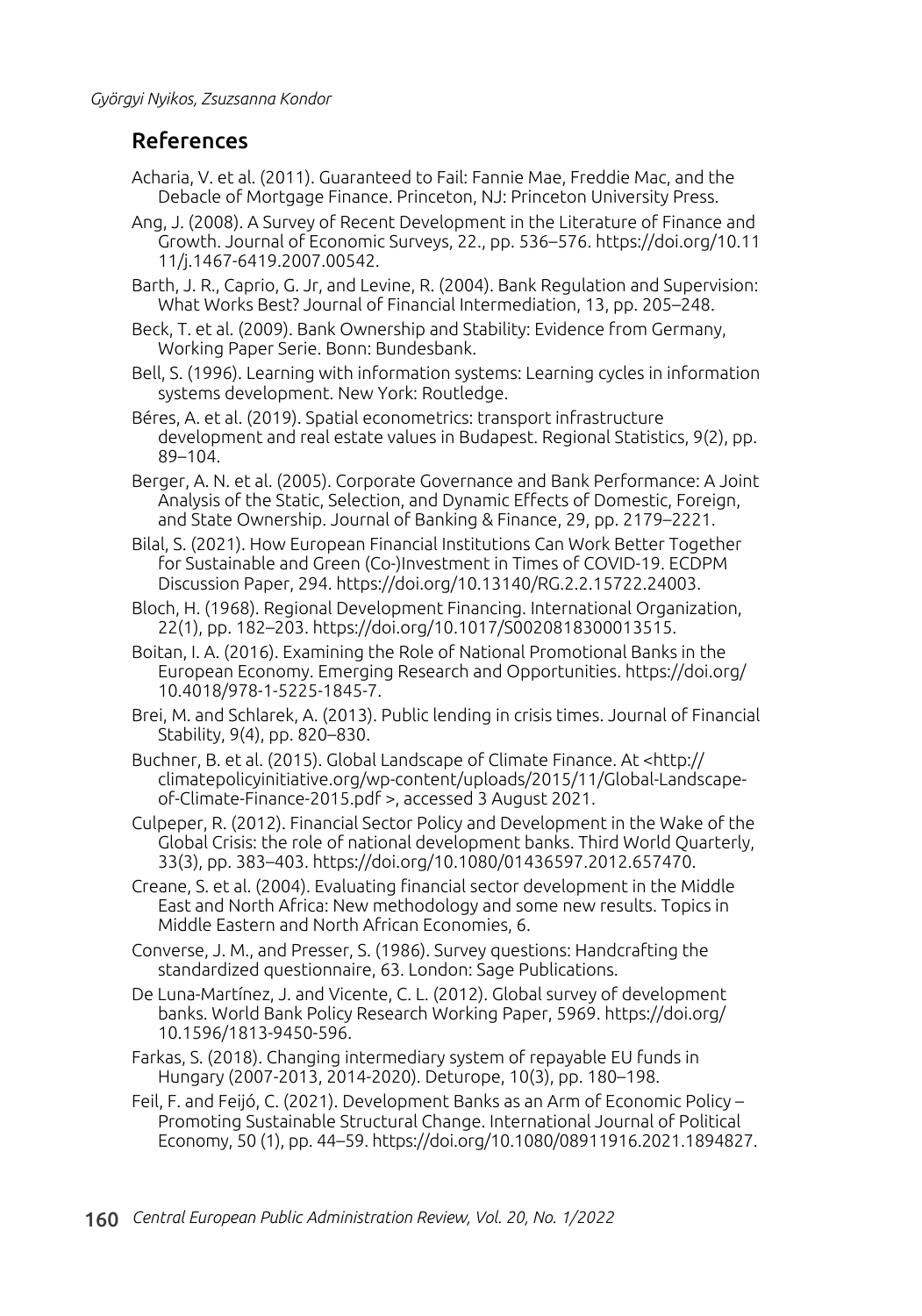### References

- Acharia, V. et al. (2011). Guaranteed to Fail: Fannie Mae, Freddie Mac, and the Debacle of Mortgage Finance. Princeton, NJ: Princeton University Press.
- Ang, J. (2008). A Survey of Recent Development in the Literature of Finance and Growth. Journal of Economic Surveys, 22., pp. 536–576. https://doi.org/10.11 11/j.1467-6419.2007.00542.
- Barth, J. R., Caprio, G. Jr, and Levine, R. (2004). Bank Regulation and Supervision: What Works Best? Journal of Financial Intermediation, 13, pp. 205–248.
- Beck, T. et al. (2009). Bank Ownership and Stability: Evidence from Germany, Working Paper Serie. Bonn: Bundesbank.
- Bell, S. (1996). Learning with information systems: Learning cycles in information systems development. New York: Routledge.
- Béres, A. et al. (2019). Spatial econometrics: transport infrastructure development and real estate values in Budapest. Regional Statistics, 9(2), pp. 89–104.
- Berger, A. N. et al. (2005). Corporate Governance and Bank Performance: A Joint Analysis of the Static, Selection, and Dynamic Effects of Domestic, Foreign, and State Ownership. Journal of Banking & Finance, 29, pp. 2179–2221.
- Bilal, S. (2021). How European Financial Institutions Can Work Better Together for Sustainable and Green (Co-)Investment in Times of COVID-19. ECDPM Discussion Paper, 294. https://doi.org/10.13140/RG.2.2.15722.24003.
- Bloch, H. (1968). Regional Development Financing. International Organization, 22(1), pp. 182–203. https://doi.org/10.1017/S0020818300013515.
- Boitan, I. A. (2016). Examining the Role of National Promotional Banks in the European Economy. Emerging Research and Opportunities. https://doi.org/ 10.4018/978-1-5225-1845-7.
- Brei, M. and Schlarek, A. (2013). Public lending in crisis times. Journal of Financial Stability, 9(4), pp. 820–830.
- Buchner, B. et al. (2015). Global Landscape of Climate Finance. At <http:// climatepolicyinitiative.org/wp-content/uploads/2015/11/Global-Landscapeof-Climate-Finance-2015.pdf >, accessed 3 August 2021.
- Culpeper, R. (2012). Financial Sector Policy and Development in the Wake of the Global Crisis: the role of national development banks. Third World Quarterly, 33(3), pp. 383–403. https://doi.org/10.1080/01436597.2012.657470.
- Creane, S. et al. (2004). Evaluating financial sector development in the Middle East and North Africa: New methodology and some new results. Topics in Middle Eastern and North African Economies, 6.
- Converse, J. M., and Presser, S. (1986). Survey questions: Handcrafting the standardized questionnaire, 63. London: Sage Publications.
- De Luna-Martínez, J. and Vicente, C. L. (2012). Global survey of development banks. World Bank Policy Research Working Paper, 5969. https://doi.org/ 10.1596/1813-9450-596.
- Farkas, S. (2018). Changing intermediary system of repayable EU funds in Hungary (2007-2013, 2014-2020). Deturope, 10(3), pp. 180–198.
- Feil, F. and Feijó, C. (2021). Development Banks as an Arm of Economic Policy Promoting Sustainable Structural Change. International Journal of Political Economy, 50 (1), pp. 44–59. https://doi.org/10.1080/08911916.2021.1894827.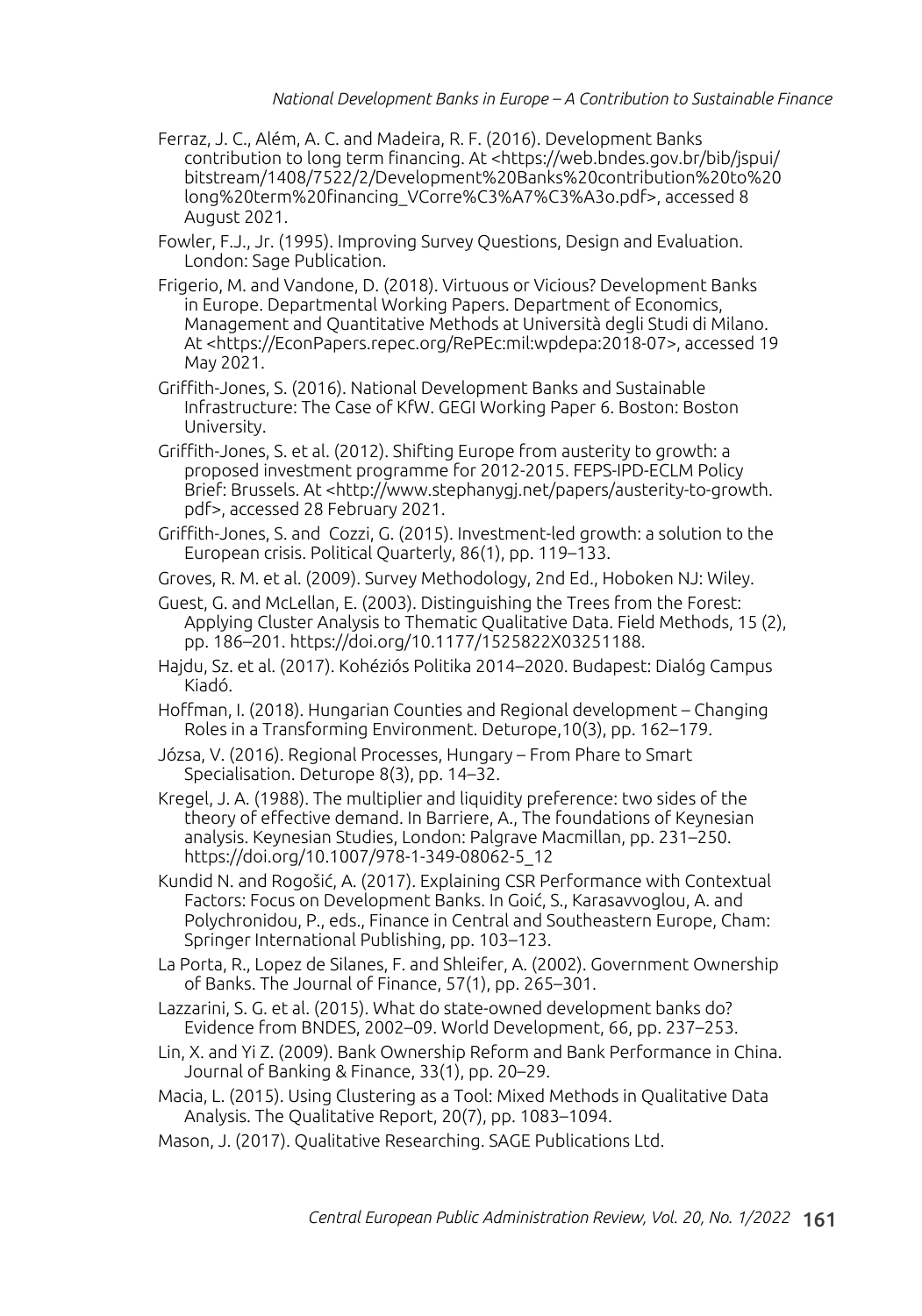- Ferraz, J. C., Além, A. C. and Madeira, R. F. (2016). Development Banks contribution to long term financing. At <https://web.bndes.gov.br/bib/jspui/ bitstream/1408/7522/2/Development%20Banks%20contribution%20to%20 long%20term%20financing\_VCorre%C3%A7%C3%A3o.pdf>, accessed 8 August 2021.
- Fowler, F.J., Jr. (1995). Improving Survey Questions, Design and Evaluation. London: Sage Publication.
- Frigerio, M. and Vandone, D. (2018). Virtuous or Vicious? Development Banks in Europe. Departmental Working Papers. Department of Economics, Management and Quantitative Methods at Università degli Studi di Milano. At <https://EconPapers.repec.org/RePEc:mil:wpdepa:2018-07>, accessed 19 May 2021.
- Griffith-Jones, S. (2016). National Development Banks and Sustainable Infrastructure: The Case of KfW. GEGI Working Paper 6. Boston: Boston University.
- Griffith-Jones, S. et al. (2012). Shifting Europe from austerity to growth: a proposed investment programme for 2012-2015. FEPS-IPD-ECLM Policy Brief: Brussels. At <http://www.stephanygj.net/papers/austerity-to-growth. pdf>, accessed 28 February 2021.
- Griffith-Jones, S. and Cozzi, G. (2015). Investment-led growth: a solution to the European crisis. Political Quarterly, 86(1), pp. 119–133.
- Groves, R. M. et al. (2009). Survey Methodology, 2nd Ed., Hoboken NJ: Wiley.
- Guest, G. and McLellan, E. (2003). Distinguishing the Trees from the Forest: Applying Cluster Analysis to Thematic Qualitative Data. Field Methods, 15 (2), pp. 186–201. https://doi.org/10.1177/1525822X03251188.
- Hajdu, Sz. et al. (2017). Kohéziós Politika 2014–2020. Budapest: Dialóg Campus Kiadó.
- Hoffman, I. (2018). Hungarian Counties and Regional development Changing Roles in a Transforming Environment. Deturope,10(3), pp. 162–179.
- Józsa, V. (2016). Regional Processes, Hungary From Phare to Smart Specialisation. Deturope 8(3), pp. 14–32.
- Kregel, J. A. (1988). The multiplier and liquidity preference: two sides of the theory of effective demand. In Barriere, A., The foundations of Keynesian analysis. Keynesian Studies, London: Palgrave Macmillan, pp. 231–250. https://doi.org/10.1007/978-1-349-08062-5\_12
- Kundid N. and Rogošić, A. (2017). Explaining CSR Performance with Contextual Factors: Focus on Development Banks. In Goić, S., Karasavvoglou, A. and Polychronidou, P., eds., Finance in Central and Southeastern Europe, Cham: Springer International Publishing, pp. 103–123.
- La Porta, R., Lopez de Silanes, F. and Shleifer, A. (2002). Government Ownership of Banks. The Journal of Finance, 57(1), pp. 265–301.
- Lazzarini, S. G. et al. (2015). What do state-owned development banks do? Evidence from BNDES, 2002–09. World Development, 66, pp. 237–253.
- Lin, X. and Yi Z. (2009). Bank Ownership Reform and Bank Performance in China. Journal of Banking & Finance, 33(1), pp. 20–29.
- Macia, L. (2015). Using Clustering as a Tool: Mixed Methods in Qualitative Data Analysis. The Qualitative Report, 20(7), pp. 1083–1094.
- Mason, J. (2017). Qualitative Researching. SAGE Publications Ltd.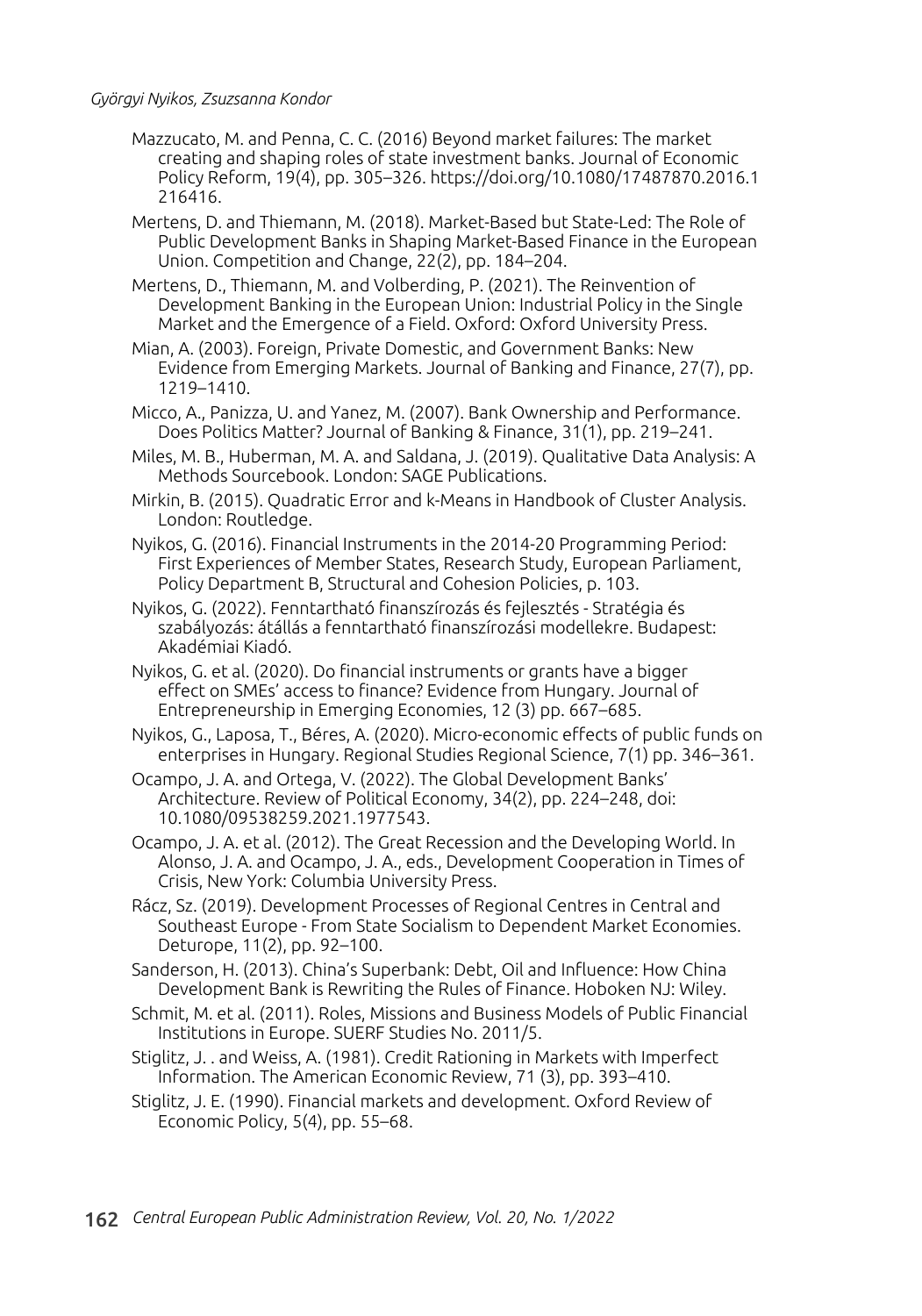- Mazzucato, M. and Penna, C. C. (2016) Beyond market failures: The market creating and shaping roles of state investment banks. Journal of Economic Policy Reform, 19(4), pp. 305–326. https://doi.org/10.1080/17487870.2016.1 216416.
- Mertens, D. and Thiemann, M. (2018). Market-Based but State-Led: The Role of Public Development Banks in Shaping Market-Based Finance in the European Union. Competition and Change, 22(2), pp. 184–204.
- Mertens, D., Thiemann, M. and Volberding, P. (2021). The Reinvention of Development Banking in the European Union: Industrial Policy in the Single Market and the Emergence of a Field. Oxford: Oxford University Press.
- Mian, A. (2003). Foreign, Private Domestic, and Government Banks: New Evidence from Emerging Markets. Journal of Banking and Finance, 27(7), pp. 1219–1410.
- Micco, A., Panizza, U. and Yanez, M. (2007). Bank Ownership and Performance. Does Politics Matter? Journal of Banking & Finance, 31(1), pp. 219–241.
- Miles, M. B., Huberman, M. A. and Saldana, J. (2019). Qualitative Data Analysis: A Methods Sourcebook. London: SAGE Publications.
- Mirkin, B. (2015). Quadratic Error and k-Means in Handbook of Cluster Analysis. London: Routledge.
- Nyikos, G. (2016). Financial Instruments in the 2014-20 Programming Period: First Experiences of Member States, Research Study, European Parliament, Policy Department B, Structural and Cohesion Policies, p. 103.
- Nyikos, G. (2022). Fenntartható finanszírozás és fejlesztés Stratégia és szabályozás: átállás a fenntartható finanszírozási modellekre. Budapest: Akadémiai Kiadó.
- Nyikos, G. et al. (2020). Do financial instruments or grants have a bigger effect on SMEs' access to finance? Evidence from Hungary. Journal of Entrepreneurship in Emerging Economies, 12 (3) pp. 667–685.
- Nyikos, G., Laposa, T., Béres, A. (2020). Micro-economic effects of public funds on enterprises in Hungary. Regional Studies Regional Science, 7(1) pp. 346–361.
- Ocampo, J. A. and Ortega, V. (2022). The Global Development Banks' Architecture. Review of Political Economy, 34(2), pp. 224–248, doi: 10.1080/09538259.2021.1977543.
- Ocampo, J. A. et al. (2012). The Great Recession and the Developing World. In Alonso, J. A. and Ocampo, J. A., eds., Development Cooperation in Times of Crisis, New York: Columbia University Press.
- Rácz, Sz. (2019). Development Processes of Regional Centres in Central and Southeast Europe - From State Socialism to Dependent Market Economies. Deturope, 11(2), pp. 92–100.
- Sanderson, H. (2013). China's Superbank: Debt, Oil and Influence: How China Development Bank is Rewriting the Rules of Finance. Hoboken NJ: Wiley.
- Schmit, M. et al. (2011). Roles, Missions and Business Models of Public Financial Institutions in Europe. SUERF Studies No. 2011/5.
- Stiglitz, J. . and Weiss, A. (1981). Credit Rationing in Markets with Imperfect Information. The American Economic Review, 71 (3), pp. 393–410.
- Stiglitz, J. E. (1990). Financial markets and development. Oxford Review of Economic Policy, 5(4), pp. 55–68.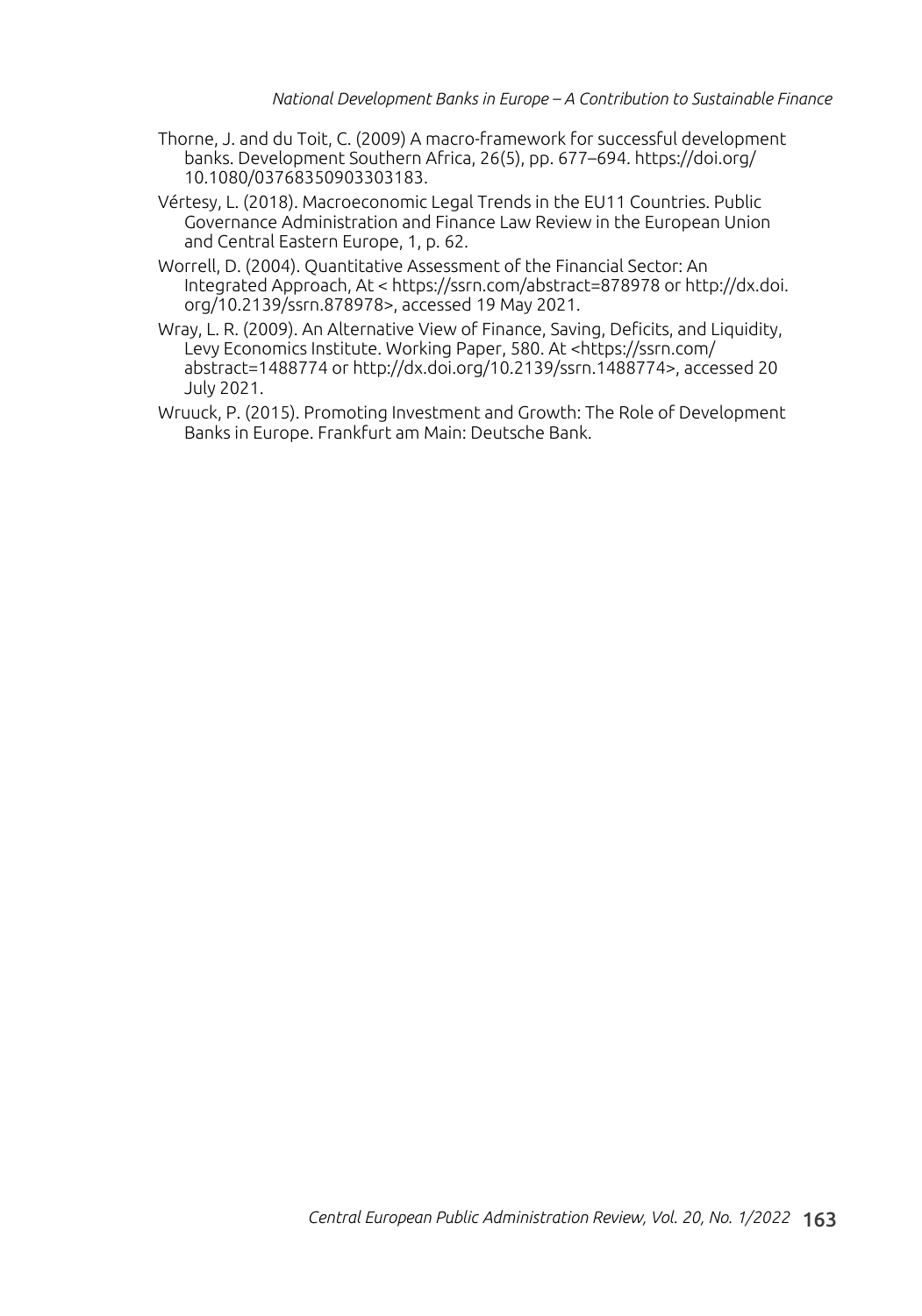- Thorne, J. and du Toit, C. (2009) A macro-framework for successful development banks. Development Southern Africa, 26(5), pp. 677–694. https://doi.org/ 10.1080/03768350903303183.
- Vértesy, L. (2018). Macroeconomic Legal Trends in the EU11 Countries. Public Governance Administration and Finance Law Review in the European Union and Central Eastern Europe, 1, p. 62.
- Worrell, D. (2004). Quantitative Assessment of the Financial Sector: An Integrated Approach, At < https://ssrn.com/abstract=878978 or http://dx.doi. org/10.2139/ssrn.878978>, accessed 19 May 2021.
- Wray, L. R. (2009). An Alternative View of Finance, Saving, Deficits, and Liquidity, Levy Economics Institute. Working Paper, 580. At <https://ssrn.com/ abstract=1488774 or http://dx.doi.org/10.2139/ssrn.1488774>, accessed 20 July 2021.
- Wruuck, P. (2015). Promoting Investment and Growth: The Role of Development Banks in Europe. Frankfurt am Main: Deutsche Bank.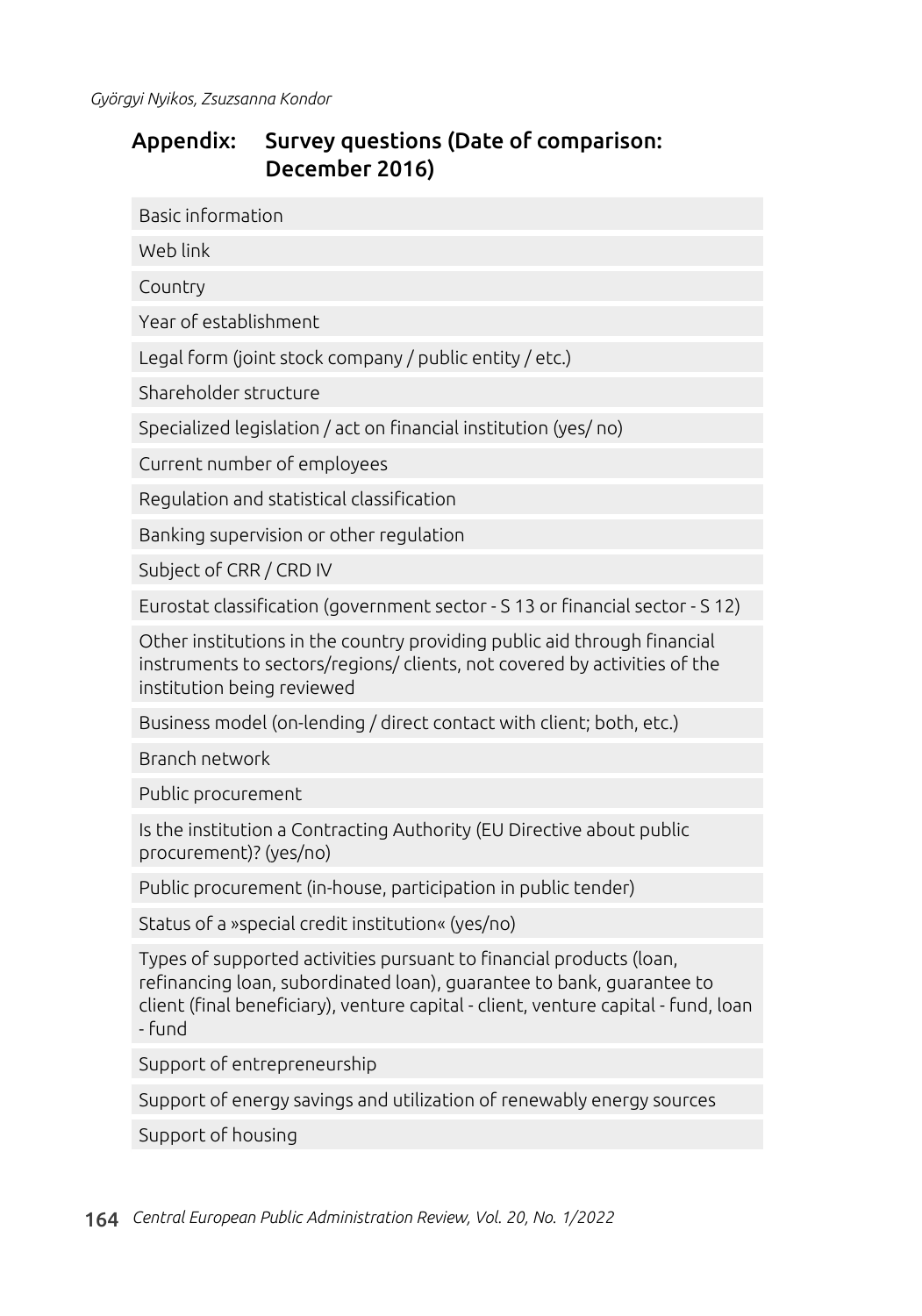### Appendix: Survey questions (Date of comparison: December 2016)

Basic information

Web link

Country

Year of establishment

Legal form (joint stock company / public entity / etc.)

Shareholder structure

Specialized legislation / act on financial institution (yes/ no)

Current number of employees

Regulation and statistical classification

Banking supervision or other regulation

Subject of CRR / CRD IV

Eurostat classification (government sector - S 13 or financial sector - S 12)

Other institutions in the country providing public aid through financial instruments to sectors/regions/ clients, not covered by activities of the institution being reviewed

Business model (on-lending / direct contact with client; both, etc.)

Branch network

Public procurement

Is the institution a Contracting Authority (EU Directive about public procurement)? (yes/no)

Public procurement (in-house, participation in public tender)

Status of a »special credit institution« (yes/no)

Types of supported activities pursuant to financial products (loan, refinancing loan, subordinated loan), guarantee to bank, guarantee to client (final beneficiary), venture capital - client, venture capital - fund, loan - fund

Support of entrepreneurship

Support of energy savings and utilization of renewably energy sources

Support of housing